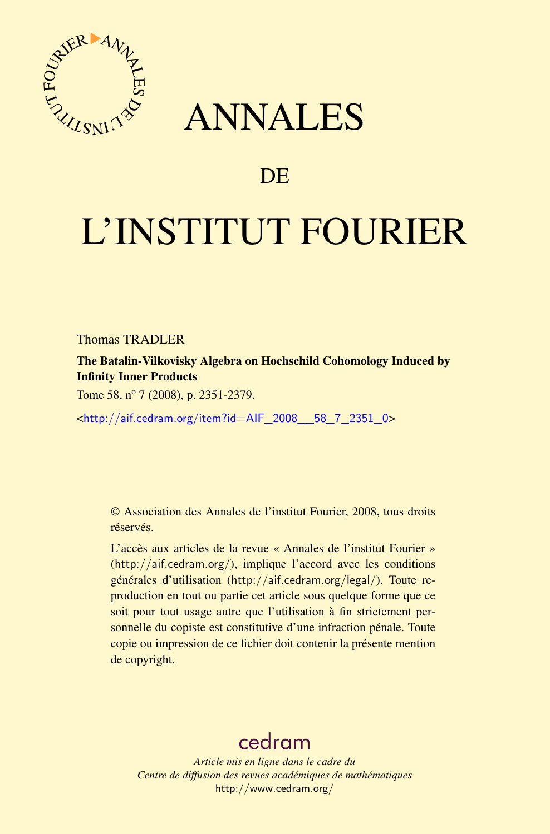

## ANNALES

## **DE**

# L'INSTITUT FOURIER

Thomas TRADLER

The Batalin-Vilkovisky Algebra on Hochschild Cohomology Induced by Infinity Inner Products

Tome 58, nº 7 (2008), p. 2351-2379.

<[http://aif.cedram.org/item?id=AIF\\_2008\\_\\_58\\_7\\_2351\\_0](http://aif.cedram.org/item?id=AIF_2008__58_7_2351_0)>

© Association des Annales de l'institut Fourier, 2008, tous droits réservés.

L'accès aux articles de la revue « Annales de l'institut Fourier » (<http://aif.cedram.org/>), implique l'accord avec les conditions générales d'utilisation (<http://aif.cedram.org/legal/>). Toute reproduction en tout ou partie cet article sous quelque forme que ce soit pour tout usage autre que l'utilisation à fin strictement personnelle du copiste est constitutive d'une infraction pénale. Toute copie ou impression de ce fichier doit contenir la présente mention de copyright.

## [cedram](http://www.cedram.org/)

*Article mis en ligne dans le cadre du Centre de diffusion des revues académiques de mathématiques* <http://www.cedram.org/>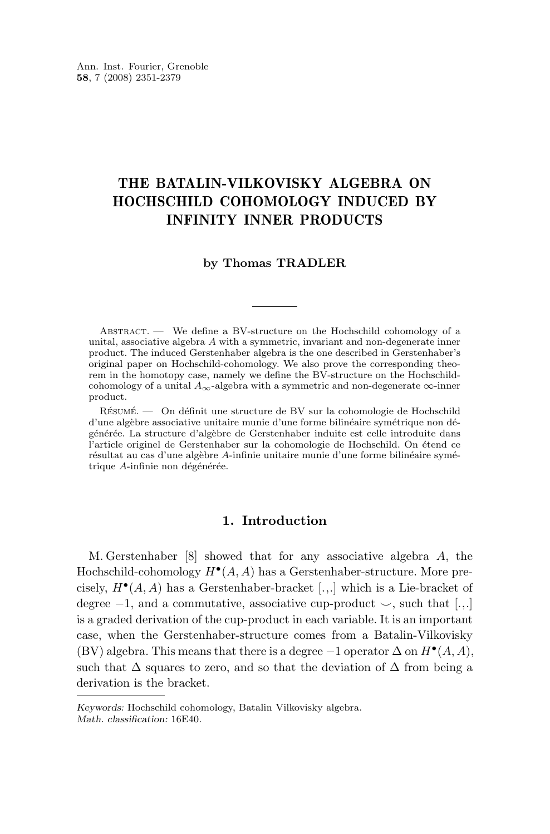### THE BATALIN-VILKOVISKY ALGEBRA ON HOCHSCHILD COHOMOLOGY INDUCED BY INFINITY INNER PRODUCTS

#### **by Thomas TRADLER**

Abstract. — We define a BV-structure on the Hochschild cohomology of a unital, associative algebra A with a symmetric, invariant and non-degenerate inner product. The induced Gerstenhaber algebra is the one described in Gerstenhaber's original paper on Hochschild-cohomology. We also prove the corresponding theorem in the homotopy case, namely we define the BV-structure on the Hochschildcohomology of a unital  $A_{\infty}$ -algebra with a symmetric and non-degenerate  $\infty$ -inner product.

Résumé. — On définit une structure de BV sur la cohomologie de Hochschild d'une algèbre associative unitaire munie d'une forme bilinéaire symétrique non dégénérée. La structure d'algèbre de Gerstenhaber induite est celle introduite dans l'article originel de Gerstenhaber sur la cohomologie de Hochschild. On étend ce résultat au cas d'une algèbre A-infinie unitaire munie d'une forme bilinéaire symétrique A-infinie non dégénérée.

#### **1. Introduction**

M. Gerstenhaber [\[8\]](#page-28-0) showed that for any associative algebra A, the Hochschild-cohomology  $H^{\bullet}(A, A)$  has a Gerstenhaber-structure. More precisely,  $H^{\bullet}(A, A)$  has a Gerstenhaber-bracket [.,.] which is a Lie-bracket of degree  $-1$ , and a commutative, associative cup-product  $\sim$ , such that [...] is a graded derivation of the cup-product in each variable. It is an important case, when the Gerstenhaber-structure comes from a Batalin-Vilkovisky (BV) algebra. This means that there is a degree  $-1$  operator  $\Delta$  on  $H^{\bullet}(A, A)$ , such that  $\Delta$  squares to zero, and so that the deviation of  $\Delta$  from being a derivation is the bracket.

*Keywords:* Hochschild cohomology, Batalin Vilkovisky algebra. *Math. classification:* 16E40.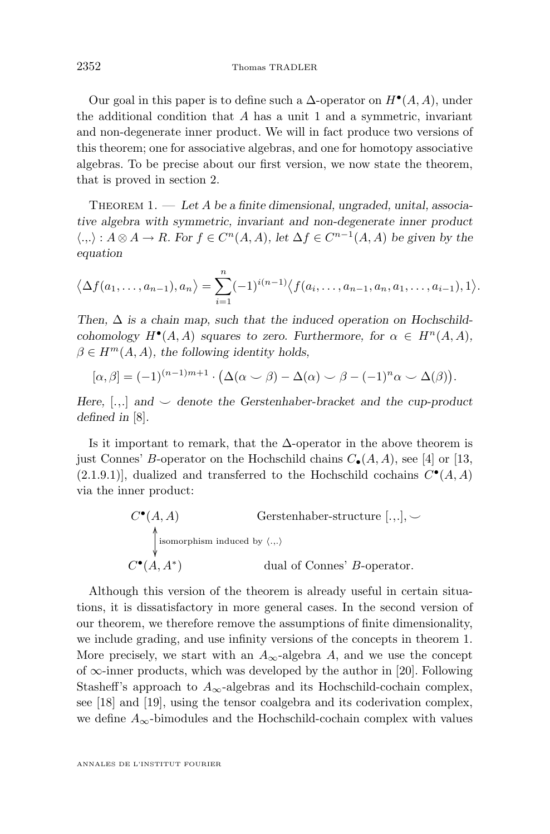<span id="page-2-0"></span>Our goal in this paper is to define such a  $\Delta$ -operator on  $H^{\bullet}(A, A)$ , under the additional condition that A has a unit 1 and a symmetric, invariant and non-degenerate inner product. We will in fact produce two versions of this theorem; one for associative algebras, and one for homotopy associative algebras. To be precise about our first version, we now state the theorem, that is proved in section [2.](#page-4-0)

THEOREM 1. — Let A be a finite dimensional, ungraded, unital, associa*tive algebra with symmetric, invariant and non-degenerate inner product*  $\langle .,.\rangle : A \otimes A \to R$ *. For*  $f \in C^n(A, A)$ *, let*  $\Delta f \in C^{n-1}(A, A)$  *be given by the equation*

$$
\langle \Delta f(a_1,\ldots,a_{n-1}),a_n \rangle = \sum_{i=1}^n (-1)^{i(n-1)} \langle f(a_i,\ldots,a_{n-1},a_n,a_1,\ldots,a_{i-1}),1 \rangle.
$$

Then,  $\Delta$  *is a chain map, such that the induced operation on Hochschildcohomology*  $H^{\bullet}(A, A)$  *squares to zero. Furthermore, for*  $\alpha \in H^{n}(A, A)$ *,*  $\beta \in H^m(A, A)$ , the following identity holds,

$$
[\alpha, \beta] = (-1)^{(n-1)m+1} \cdot (\Delta(\alpha \smile \beta) - \Delta(\alpha) \smile \beta - (-1)^n \alpha \smile \Delta(\beta)).
$$

*Here,* [.,.] *and* ^ *denote the Gerstenhaber-bracket and the cup-product defined in* [\[8\]](#page-28-0)*.*

Is it important to remark, that the  $\Delta$ -operator in the above theorem is just Connes' B-operator on the Hochschild chains  $C_{\bullet}(A, A)$ , see [\[4\]](#page-28-0) or [\[13,](#page-28-0)  $(2.1.9.1)$ , dualized and transferred to the Hochschild cochains  $C^{\bullet}(A, A)$ via the inner product:

$$
C^{\bullet}(A, A)
$$
 Gerstenhaber-structure [.,.],  $\smile$   
\n
$$
\uparrow
$$
isomorphism induced by  $\langle .. \rangle$   
\n
$$
C^{\bullet}(A, A^*)
$$
 dual of Connes' *B*-operator.

Although this version of the theorem is already useful in certain situations, it is dissatisfactory in more general cases. In the second version of our theorem, we therefore remove the assumptions of finite dimensionality, we include grading, and use infinity versions of the concepts in theorem 1. More precisely, we start with an  $A_{\infty}$ -algebra A, and we use the concept of  $\infty$ -inner products, which was developed by the author in [\[20\]](#page-29-0). Following Stasheff's approach to  $A_{\infty}$ -algebras and its Hochschild-cochain complex, see [\[18\]](#page-29-0) and [\[19\]](#page-29-0), using the tensor coalgebra and its coderivation complex, we define  $A_{\infty}$ -bimodules and the Hochschild-cochain complex with values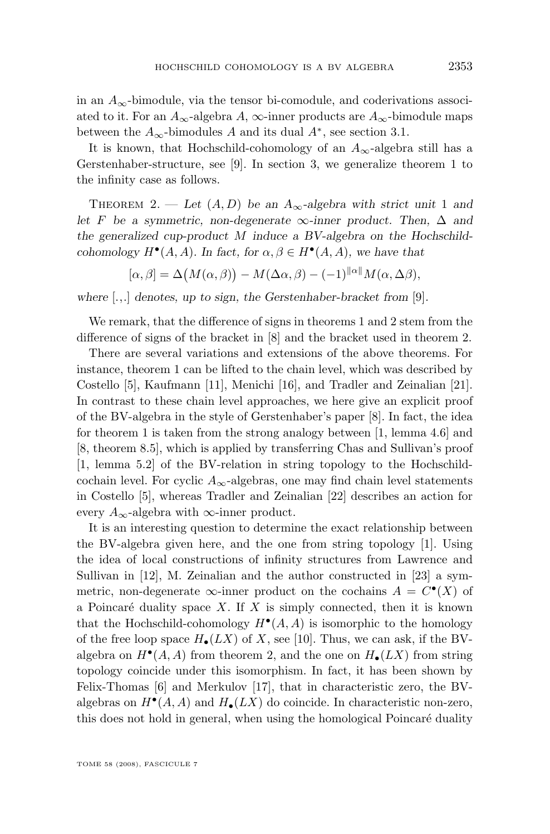<span id="page-3-0"></span>in an  $A_{\infty}$ -bimodule, via the tensor bi-comodule, and coderivations associated to it. For an  $A_{\infty}$ -algebra A,  $\infty$ -inner products are  $A_{\infty}$ -bimodule maps between the  $A_{\infty}$ -bimodules A and its dual  $A^*$ , see section [3.1.](#page-9-0)

It is known, that Hochschild-cohomology of an  $A_{\infty}$ -algebra still has a Gerstenhaber-structure, see [\[9\]](#page-28-0). In section [3,](#page-9-0) we generalize theorem [1](#page-2-0) to the infinity case as follows.

THEOREM 2. — Let  $(A, D)$  be an  $A_{\infty}$ -algebra with strict unit 1 and *let* F *be a symmetric, non-degenerate*  $\infty$ *-inner product. Then,*  $\Delta$  *and the generalized cup-product* M *induce a BV-algebra on the Hochschildcohomology*  $H^{\bullet}(A, A)$ *.* In fact, for  $\alpha, \beta \in H^{\bullet}(A, A)$ *, we have that* 

$$
[\alpha, \beta] = \Delta(M(\alpha, \beta)) - M(\Delta \alpha, \beta) - (-1)^{\|\alpha\|} M(\alpha, \Delta \beta),
$$

*where* [.,.] *denotes, up to sign, the Gerstenhaber-bracket from* [\[9\]](#page-28-0)*.*

We remark, that the difference of signs in theorems [1](#page-2-0) and 2 stem from the difference of signs of the bracket in [\[8\]](#page-28-0) and the bracket used in theorem 2.

There are several variations and extensions of the above theorems. For instance, theorem [1](#page-2-0) can be lifted to the chain level, which was described by Costello [\[5\]](#page-28-0), Kaufmann [\[11\]](#page-28-0), Menichi [\[16\]](#page-28-0), and Tradler and Zeinalian [\[21\]](#page-29-0). In contrast to these chain level approaches, we here give an explicit proof of the BV-algebra in the style of Gerstenhaber's paper [\[8\]](#page-28-0). In fact, the idea for theorem [1](#page-2-0) is taken from the strong analogy between [\[1,](#page-28-0) lemma 4.6] and [\[8,](#page-28-0) theorem 8.5], which is applied by transferring Chas and Sullivan's proof [\[1,](#page-28-0) lemma 5.2] of the BV-relation in string topology to the Hochschildcochain level. For cyclic  $A_{\infty}$ -algebras, one may find chain level statements in Costello [\[5\]](#page-28-0), whereas Tradler and Zeinalian [\[22\]](#page-29-0) describes an action for every  $A_{\infty}$ -algebra with  $\infty$ -inner product.

It is an interesting question to determine the exact relationship between the BV-algebra given here, and the one from string topology [\[1\]](#page-28-0). Using the idea of local constructions of infinity structures from Lawrence and Sullivan in [\[12\]](#page-28-0), M. Zeinalian and the author constructed in [\[23\]](#page-29-0) a symmetric, non-degenerate  $\infty$ -inner product on the cochains  $A = C^{\bullet}(X)$  of a Poincaré duality space  $X$ . If  $X$  is simply connected, then it is known that the Hochschild-cohomology  $H^{\bullet}(A, A)$  is isomorphic to the homology of the free loop space  $H_{\bullet}(LX)$  of X, see [\[10\]](#page-28-0). Thus, we can ask, if the BValgebra on  $H^{\bullet}(A, A)$  from theorem 2, and the one on  $H_{\bullet}(LX)$  from string topology coincide under this isomorphism. In fact, it has been shown by Felix-Thomas [\[6\]](#page-28-0) and Merkulov [\[17\]](#page-28-0), that in characteristic zero, the BValgebras on  $H^{\bullet}(A, A)$  and  $H_{\bullet}(LX)$  do coincide. In characteristic non-zero, this does not hold in general, when using the homological Poincaré duality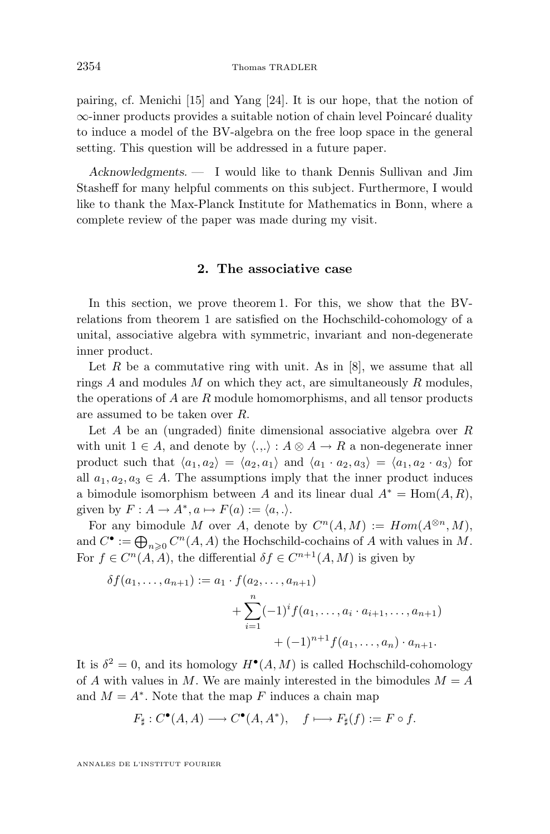<span id="page-4-0"></span>pairing, cf. Menichi [\[15\]](#page-28-0) and Yang [\[24\]](#page-29-0). It is our hope, that the notion of ∞-inner products provides a suitable notion of chain level Poincaré duality to induce a model of the BV-algebra on the free loop space in the general setting. This question will be addressed in a future paper.

*Acknowledgments. —* I would like to thank Dennis Sullivan and Jim Stasheff for many helpful comments on this subject. Furthermore, I would like to thank the Max-Planck Institute for Mathematics in Bonn, where a complete review of the paper was made during my visit.

#### **2. The associative case**

In this section, we prove theorem [1.](#page-2-0) For this, we show that the BVrelations from theorem [1](#page-2-0) are satisfied on the Hochschild-cohomology of a unital, associative algebra with symmetric, invariant and non-degenerate inner product.

Let  $R$  be a commutative ring with unit. As in  $[8]$ , we assume that all rings A and modules M on which they act, are simultaneously R modules, the operations of  $A$  are  $R$  module homomorphisms, and all tensor products are assumed to be taken over R.

Let A be an (ungraded) finite dimensional associative algebra over  $R$ with unit  $1 \in A$ , and denote by  $\langle ... \rangle : A \otimes A \rightarrow R$  a non-degenerate inner product such that  $\langle a_1, a_2 \rangle = \langle a_2, a_1 \rangle$  and  $\langle a_1 \cdot a_2, a_3 \rangle = \langle a_1, a_2 \cdot a_3 \rangle$  for all  $a_1, a_2, a_3 \in A$ . The assumptions imply that the inner product induces a bimodule isomorphism between A and its linear dual  $A^* = \text{Hom}(A, R)$ , given by  $F: A \to A^*, a \mapsto F(a) := \langle a, . \rangle$ .

For any bimodule M over A, denote by  $C^n(A, M) := Hom(A^{\otimes n}, M)$ , and  $C^{\bullet} := \bigoplus_{n \geq 0} C^n(A, A)$  the Hochschild-cochains of A with values in M. For  $f \in C^n(A, A)$ , the differential  $\delta f \in C^{n+1}(A, M)$  is given by

$$
\delta f(a_1, \ldots, a_{n+1}) := a_1 \cdot f(a_2, \ldots, a_{n+1})
$$
  
+ 
$$
\sum_{i=1}^n (-1)^i f(a_1, \ldots, a_i \cdot a_{i+1}, \ldots, a_{n+1})
$$
  
+ 
$$
(-1)^{n+1} f(a_1, \ldots, a_n) \cdot a_{n+1}.
$$

It is  $\delta^2 = 0$ , and its homology  $H^{\bullet}(A, M)$  is called Hochschild-cohomology of A with values in M. We are mainly interested in the bimodules  $M = A$ and  $M = A^*$ . Note that the map F induces a chain map

$$
F_{\sharp}: C^{\bullet}(A, A) \longrightarrow C^{\bullet}(A, A^*), \quad f \longmapsto F_{\sharp}(f) := F \circ f.
$$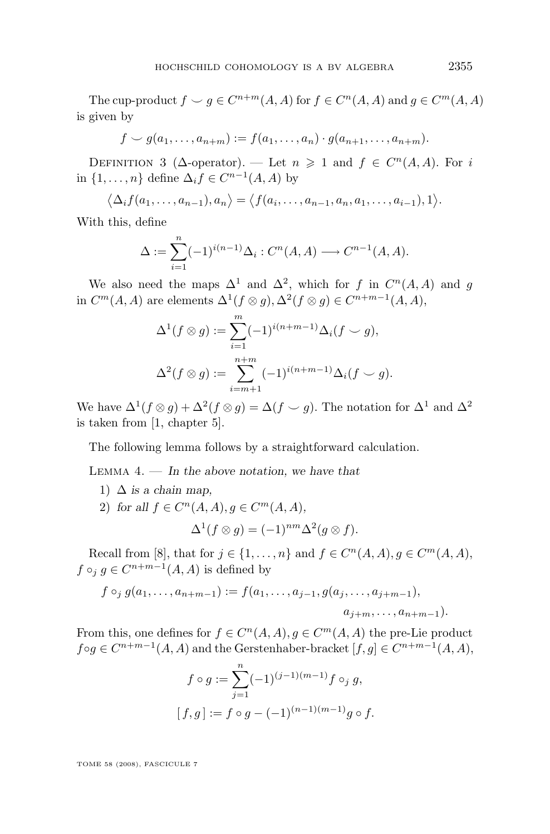<span id="page-5-0"></span>The cup-product  $f \smile g \in C^{n+m}(A, A)$  for  $f \in C^n(A, A)$  and  $g \in C^m(A, A)$ is given by

$$
f \smile g(a_1,\ldots,a_{n+m}) := f(a_1,\ldots,a_n) \cdot g(a_{n+1},\ldots,a_{n+m}).
$$

DEFINITION 3 ( $\Delta$ -operator). — Let  $n \geq 1$  and  $f \in C^n(A, A)$ . For i in  $\{1, \ldots, n\}$  define  $\Delta_i f \in C^{n-1}(A, A)$  by

$$
\langle \Delta_i f(a_1,\ldots,a_{n-1}),a_n\rangle = \langle f(a_i,\ldots,a_{n-1},a_n,a_1,\ldots,a_{i-1}),1\rangle.
$$

With this, define

$$
\Delta := \sum_{i=1}^{n} (-1)^{i(n-1)} \Delta_i : C^n(A, A) \longrightarrow C^{n-1}(A, A).
$$

We also need the maps  $\Delta^1$  and  $\Delta^2$ , which for f in  $C^n(A, A)$  and g in  $C^m(A, A)$  are elements  $\Delta^1(f \otimes g), \Delta^2(f \otimes g) \in C^{n+m-1}(A, A),$ 

$$
\Delta^{1}(f \otimes g) := \sum_{i=1}^{m} (-1)^{i(n+m-1)} \Delta_{i}(f \cup g),
$$
  

$$
\Delta^{2}(f \otimes g) := \sum_{i=m+1}^{n+m} (-1)^{i(n+m-1)} \Delta_{i}(f \cup g).
$$

We have  $\Delta^1(f \otimes g) + \Delta^2(f \otimes g) = \Delta(f \smile g)$ . The notation for  $\Delta^1$  and  $\Delta^2$ is taken from [\[1,](#page-28-0) chapter 5].

The following lemma follows by a straightforward calculation.

Lemma 4. — *In the above notation, we have that*

1)  $\Delta$  *is a chain map*, 2) for all  $f \in C^n(A, A), g \in C^m(A, A)$ ,

$$
\Delta^1(f \otimes g) = (-1)^{nm} \Delta^2(g \otimes f).
$$

Recall from [\[8\]](#page-28-0), that for  $j \in \{1, ..., n\}$  and  $f \in C^n(A, A), g \in C^m(A, A)$ ,  $f \circ_j g \in C^{n+m-1}(A, A)$  is defined by

$$
f \circ_j g(a_1, \ldots, a_{n+m-1}) := f(a_1, \ldots, a_{j-1}, g(a_j, \ldots, a_{j+m-1}),
$$
  

$$
a_{j+m}, \ldots, a_{n+m-1}).
$$

From this, one defines for  $f \in C^n(A, A), g \in C^m(A, A)$  the pre-Lie product  $f \circ g \in C^{n+m-1}(A, A)$  and the Gerstenhaber-bracket  $[f, g] \in C^{n+m-1}(A, A)$ ,

$$
f \circ g := \sum_{j=1}^{n} (-1)^{(j-1)(m-1)} f \circ_j g,
$$
  
\n
$$
[f, g] := f \circ g - (-1)^{(n-1)(m-1)} g \circ f.
$$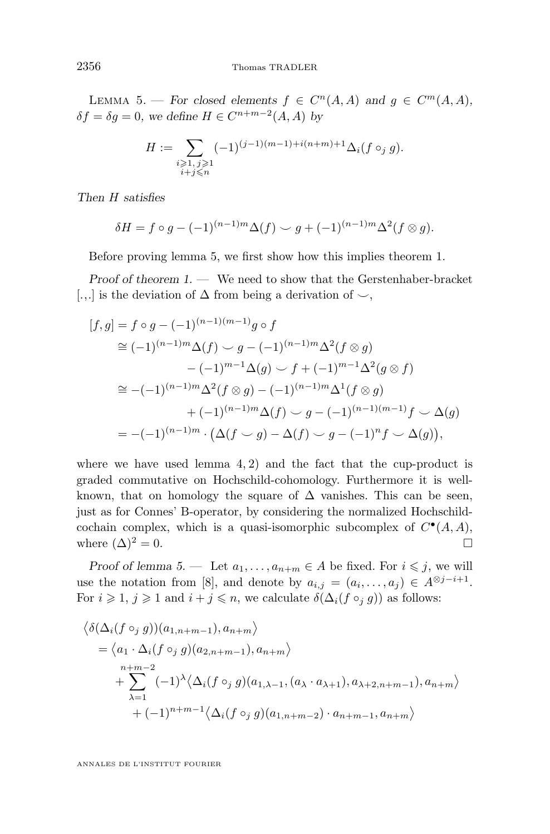LEMMA 5. — For closed elements  $f \in C^n(A, A)$  and  $g \in C^m(A, A)$ ,  $\delta f = \delta g = 0$ , we define  $H \in C^{n+m-2}(A, A)$  by

$$
H:=\sum_{\substack{i\geqslant 1,\,j\geqslant 1\\i+j\leqslant n}}(-1)^{(j-1)(m-1)+i(n+m)+1}\Delta_i(f\circ_j g).
$$

*Then* H *satisfies*

$$
\delta H = f \circ g - (-1)^{(n-1)m} \Delta(f) \smile g + (-1)^{(n-1)m} \Delta^2(f \otimes g).
$$

Before proving lemma [5,](#page-5-0) we first show how this implies theorem [1.](#page-2-0)

*Proof of theorem* [1.](#page-2-0) — We need to show that the Gerstenhaber-bracket [.,.] is the deviation of  $\Delta$  from being a derivation of  $\sim$ ,

$$
[f,g] = f \circ g - (-1)^{(n-1)(m-1)} g \circ f
$$
  
\n
$$
\cong (-1)^{(n-1)m} \Delta(f) \sim g - (-1)^{(n-1)m} \Delta^2(f \otimes g)
$$
  
\n
$$
-(-1)^{m-1} \Delta(g) \sim f + (-1)^{m-1} \Delta^2(g \otimes f)
$$
  
\n
$$
\cong -(-1)^{(n-1)m} \Delta^2(f \otimes g) - (-1)^{(n-1)m} \Delta^1(f \otimes g)
$$
  
\n
$$
+ (-1)^{(n-1)m} \Delta(f) \sim g - (-1)^{(n-1)(m-1)} f \sim \Delta(g)
$$
  
\n
$$
= -(-1)^{(n-1)m} \cdot (\Delta(f \sim g) - \Delta(f) \sim g - (-1)^n f \sim \Delta(g)),
$$

where we have used lemma  $4, 2$  $4, 2$ ) and the fact that the cup-product is graded commutative on Hochschild-cohomology. Furthermore it is wellknown, that on homology the square of  $\Delta$  vanishes. This can be seen, just as for Connes' B-operator, by considering the normalized Hochschildcochain complex, which is a quasi-isomorphic subcomplex of  $C^{\bullet}(A, A)$ , where  $(\Delta)^2 = 0$ .

*Proof of lemma [5.](#page-5-0)* — Let  $a_1, \ldots, a_{n+m} \in A$  be fixed. For  $i \leq j$ , we will use the notation from [\[8\]](#page-28-0), and denote by  $a_{i,j} = (a_i, \ldots, a_j) \in A^{\otimes j - i + 1}$ . For  $i \geq 1$ ,  $j \geq 1$  and  $i + j \leq n$ , we calculate  $\delta(\Delta_i(f \circ_i g))$  as follows:

$$
\langle \delta(\Delta_i(f \circ_j g))(a_{1,n+m-1}), a_{n+m} \rangle
$$
  
=  $\langle a_1 \cdot \Delta_i(f \circ_j g)(a_{2,n+m-1}), a_{n+m} \rangle$   

$$
+ \sum_{\lambda=1}^{n+m-2} (-1)^{\lambda} \langle \Delta_i(f \circ_j g)(a_{1,\lambda-1}, (a_{\lambda} \cdot a_{\lambda+1}), a_{\lambda+2,n+m-1}), a_{n+m} \rangle
$$
  
+  $(-1)^{n+m-1} \langle \Delta_i(f \circ_j g)(a_{1,n+m-2}) \cdot a_{n+m-1}, a_{n+m} \rangle$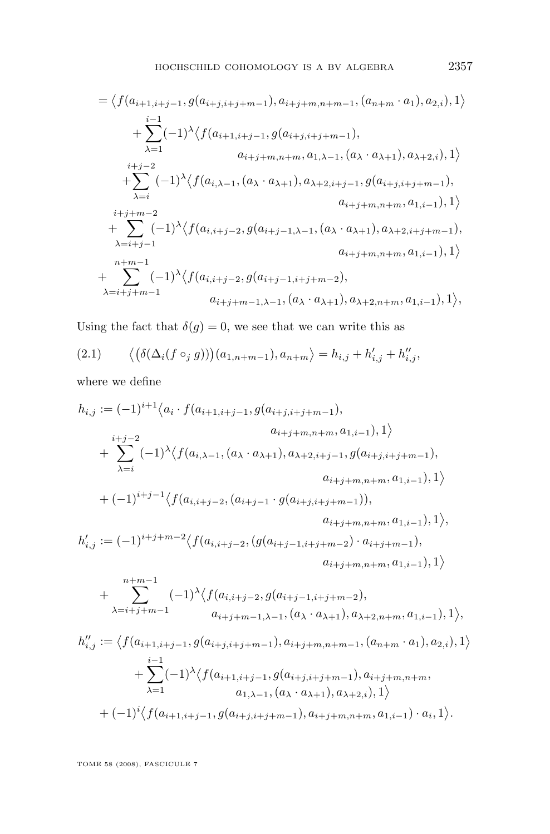<span id="page-7-0"></span>
$$
= \langle f(a_{i+1,i+j-1}, g(a_{i+j,i+j+m-1}), a_{i+j+m,n+m-1}, (a_{n+m} \cdot a_1), a_{2,i}), 1 \rangle
$$
  
\n
$$
+ \sum_{\lambda=1}^{i-1} (-1)^{\lambda} \langle f(a_{i+1,i+j-1}, g(a_{i+j,i+j+m-1}), a_{\lambda+2,i}), 1 \rangle
$$
  
\n
$$
+ \sum_{\lambda=i}^{i+j-2} (-1)^{\lambda} \langle f(a_{i,\lambda-1}, (a_{\lambda} \cdot a_{\lambda+1}), a_{\lambda+2,i+j-1}, g(a_{i+j,i+j+m-1}), a_{\lambda+1,i+j+m-2}, a_{i+j+m,n+m}, a_{1,i-1}), 1 \rangle
$$
  
\n
$$
+ \sum_{\lambda=i+j-1}^{i+j+m-2} (-1)^{\lambda} \langle f(a_{i,i+j-2}, g(a_{i+j-1,\lambda-1}, (a_{\lambda} \cdot a_{\lambda+1}), a_{\lambda+2,i+j+m-1}), a_{i+j+m,n+m}, a_{1,i-1}), 1 \rangle
$$
  
\n+ 
$$
\sum_{\lambda=i+j+m-1}^{n+m-1} (-1)^{\lambda} \langle f(a_{i,i+j-2}, g(a_{i+j-1,i+j+m-2}), a_{i+j+m,n+m}, a_{1,i-1}), 1 \rangle,
$$
  
\n
$$
a_{i+j+m-1,\lambda-1}, (a_{\lambda} \cdot a_{\lambda+1}), a_{\lambda+2,n+m}, a_{1,i-1}), 1 \rangle,
$$

Using the fact that  $\delta(g) = 0$ , we see that we can write this as

(2.1) 
$$
\langle (\delta(\Delta_i(f \circ_j g))) (a_{1,n+m-1}), a_{n+m} \rangle = h_{i,j} + h'_{i,j} + h''_{i,j},
$$

where we define

$$
h_{i,j} := (-1)^{i+1} \langle a_i \cdot f(a_{i+1,i+j-1}, g(a_{i+j,i+j+m-1}), a_{i+j+m,n+m}, a_{1,i-1}), 1 \rangle
$$
  
+ 
$$
\sum_{\lambda=i}^{i+j-2} (-1)^{\lambda} \langle f(a_{i,\lambda-1}, (a_{\lambda} \cdot a_{\lambda+1}), a_{\lambda+2,i+j-1}, g(a_{i+j,i+j+m-1}), a_{i+j+m,n+m}, a_{1,i-1}), 1 \rangle
$$
  
+ 
$$
(-1)^{i+j-1} \langle f(a_{i,i+j-2}, (a_{i+j-1} \cdot g(a_{i+j,i+j+m-1})), a_{i+j+m,n+m}, a_{1,i-1}), 1 \rangle,
$$
  

$$
h'_{i,j} := (-1)^{i+j+m-2} \langle f(a_{i,i+j-2}, (g(a_{i+j-1,i+j+m-2}) \cdot a_{i+j+m-1}), a_{i+j+m,n+m}, a_{1,i-1}), 1 \rangle
$$
  
+ 
$$
\sum_{\lambda=i+j+m-1}^{n+m-1} (-1)^{\lambda} \langle f(a_{i,i+j-2}, g(a_{i+j-1,i+j+m-2}), a_{i+j+m,n+m}, a_{1,i-1}), 1 \rangle,
$$
  

$$
h''_{i,j} := \langle f(a_{i+1,i+j-1}, g(a_{i+j,i+j+m-1}), a_{i+j+m,n+m-1}, (a_{n+m} \cdot a_1), a_{2,i}), 1 \rangle
$$
  
+ 
$$
\sum_{\lambda=1}^{i-1} (-1)^{\lambda} \langle f(a_{i+1,i+j-1}, g(a_{i+j,i+j+m-1}), a_{i+j+m,n+m}, a_{1,i-1}), a_{2,i}), 1 \rangle
$$
  
+ 
$$
(-1)^{i} \langle f(a_{i+1,i+j-1}, g(a_{i+j,i+j+m-1}), a_{i+j+m,n+m}, a_{1,i-1}) \cdot a_i, 1 \rangle.
$$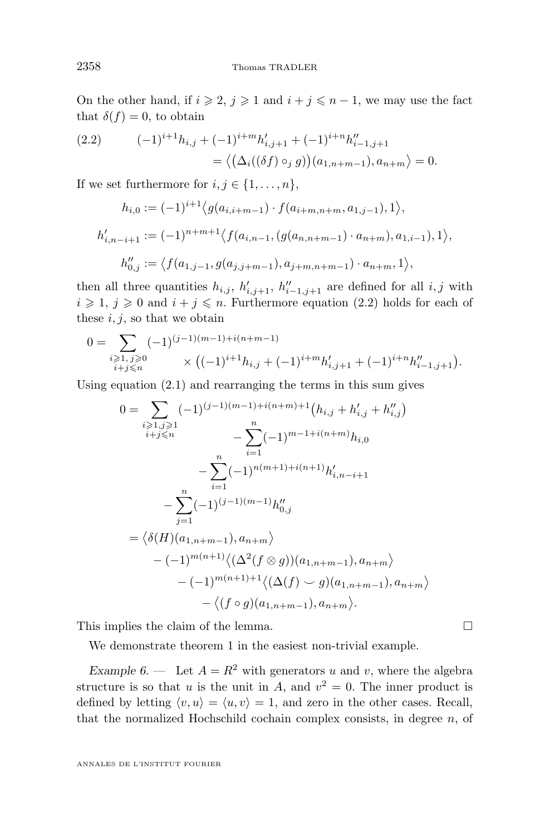<span id="page-8-0"></span>On the other hand, if  $i \geq 2$ ,  $j \geq 1$  and  $i + j \leq n - 1$ , we may use the fact that  $\delta(f) = 0$ , to obtain

(2.2) 
$$
(-1)^{i+1}h_{i,j} + (-1)^{i+m}h'_{i,j+1} + (-1)^{i+n}h''_{i-1,j+1} = \langle \left(\Delta_i((\delta f) \circ_j g)\right)(a_{1,n+m-1}), a_{n+m} \rangle = 0.
$$

If we set furthermore for  $i, j \in \{1, \ldots, n\}$ ,

$$
h_{i,0} := (-1)^{i+1} \langle g(a_{i,i+m-1}) \cdot f(a_{i+m,n+m}, a_{1,j-1}), 1 \rangle,
$$
  
\n
$$
h'_{i,n-i+1} := (-1)^{n+m+1} \langle f(a_{i,n-1}, (g(a_{n,n+m-1}) \cdot a_{n+m}), a_{1,i-1}), 1 \rangle,
$$
  
\n
$$
h''_{0,j} := \langle f(a_{1,j-1}, g(a_{j,j+m-1}), a_{j+m,n+m-1}) \cdot a_{n+m}, 1 \rangle,
$$

then all three quantities  $h_{i,j}, h'_{i,j+1}, h''_{i-1,j+1}$  are defined for all  $i, j$  with  $i \geqslant 1, j \geqslant 0$  and  $i + j \leqslant n$ . Furthermore equation (2.2) holds for each of these  $i, j$ , so that we obtain

$$
\begin{aligned} 0 = \sum_{\substack{i \geqslant 1, \, j \geqslant 0 \\ i + j \leqslant n}} (-1)^{(j-1)(m-1)+i(n+m-1)} \times \left( (-1)^{i+1} h_{i,j} + (-1)^{i+m} h_{i,j+1}' + (-1)^{i+n} h_{i-1,j+1}'' \right) . \end{aligned}
$$

Using equation [\(2.1\)](#page-7-0) and rearranging the terms in this sum gives

$$
0 = \sum_{\substack{i \geq 1, j \geq 1 \\ i+j \leq n}} (-1)^{(j-1)(m-1)+i(n+m)+1} (h_{i,j} + h'_{i,j} + h''_{i,j})
$$
  

$$
- \sum_{i=1}^n (-1)^{m-1+i(n+m)} h_{i,0}
$$
  

$$
- \sum_{i=1}^n (-1)^{n(m+1)+i(n+1)} h'_{i,n-i+1}
$$
  

$$
- \sum_{j=1}^n (-1)^{(j-1)(m-1)} h''_{0,j}
$$
  

$$
= \langle \delta(H)(a_{1,n+m-1}), a_{n+m} \rangle
$$
  

$$
- (-1)^{m(n+1)+1} \langle (\Delta(f) \cup g)(a_{1,n+m-1}), a_{n+m} \rangle
$$
  

$$
- \langle (f \circ g)(a_{1,n+m-1}), a_{n+m} \rangle.
$$

This implies the claim of the lemma.  $\Box$ 

We demonstrate theorem [1](#page-2-0) in the easiest non-trivial example.

*Example 6.* — Let  $A = R^2$  with generators u and v, where the algebra structure is so that u is the unit in A, and  $v^2 = 0$ . The inner product is defined by letting  $\langle v, u \rangle = \langle u, v \rangle = 1$ , and zero in the other cases. Recall, that the normalized Hochschild cochain complex consists, in degree  $n$ , of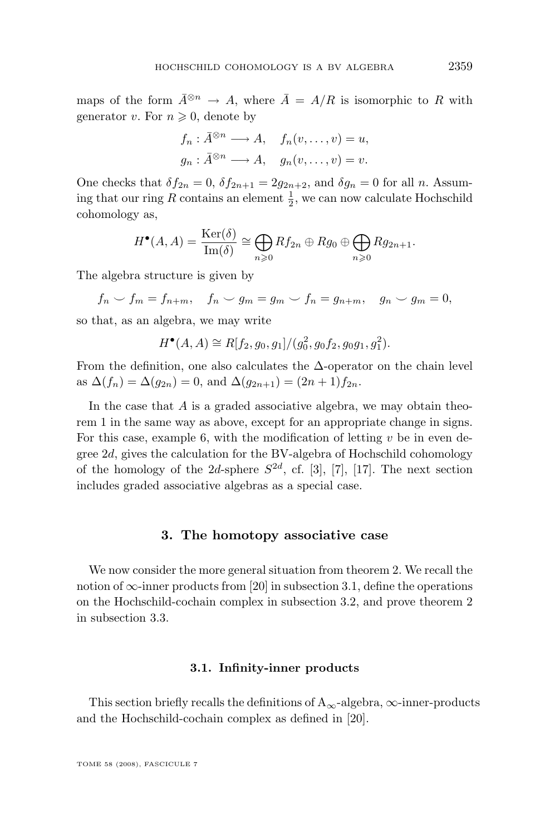<span id="page-9-0"></span>maps of the form  $\bar{A}^{\otimes n} \to A$ , where  $\bar{A} = A/R$  is isomorphic to R with generator v. For  $n \geqslant 0$ , denote by

$$
f_n: \bar{A}^{\otimes n} \longrightarrow A, \quad f_n(v, \dots, v) = u,
$$
  

$$
g_n: \bar{A}^{\otimes n} \longrightarrow A, \quad g_n(v, \dots, v) = v.
$$

One checks that  $\delta f_{2n} = 0$ ,  $\delta f_{2n+1} = 2g_{2n+2}$ , and  $\delta g_n = 0$  for all n. Assuming that our ring R contains an element  $\frac{1}{2}$ , we can now calculate Hochschild cohomology as,

$$
H^{\bullet}(A, A) = \frac{\text{Ker}(\delta)}{\text{Im}(\delta)} \cong \bigoplus_{n \geq 0} Rf_{2n} \oplus Rg_0 \oplus \bigoplus_{n \geq 0} Rg_{2n+1}.
$$

The algebra structure is given by

 $f_n \smile f_m = f_{n+m}, \quad f_n \smile g_m = g_m \smile f_n = g_{n+m}, \quad g_n \smile g_m = 0,$ 

so that, as an algebra, we may write

$$
H^{\bullet}(A, A) \cong R[f_2, g_0, g_1]/(g_0^2, g_0f_2, g_0g_1, g_1^2).
$$

From the definition, one also calculates the  $\Delta$ -operator on the chain level as  $\Delta(f_n) = \Delta(g_{2n}) = 0$ , and  $\Delta(g_{2n+1}) = (2n+1)f_{2n}$ .

In the case that A is a graded associative algebra, we may obtain theorem [1](#page-2-0) in the same way as above, except for an appropriate change in signs. For this case, example [6,](#page-8-0) with the modification of letting  $v$  be in even degree 2d, gives the calculation for the BV-algebra of Hochschild cohomology of the homology of the 2d-sphere  $S^{2d}$ , cf. [\[3\]](#page-28-0), [\[7\]](#page-28-0), [\[17\]](#page-28-0). The next section includes graded associative algebras as a special case.

#### **3. The homotopy associative case**

We now consider the more general situation from theorem [2.](#page-3-0) We recall the notion of  $\infty$ -inner products from [\[20\]](#page-29-0) in subsection 3.1, define the operations on the Hochschild-cochain complex in subsection [3.2,](#page-14-0) and prove theorem [2](#page-3-0) in subsection [3.3.](#page-23-0)

#### **3.1. Infinity-inner products**

This section briefly recalls the definitions of  $A_{\infty}$ -algebra,  $\infty$ -inner-products and the Hochschild-cochain complex as defined in [\[20\]](#page-29-0).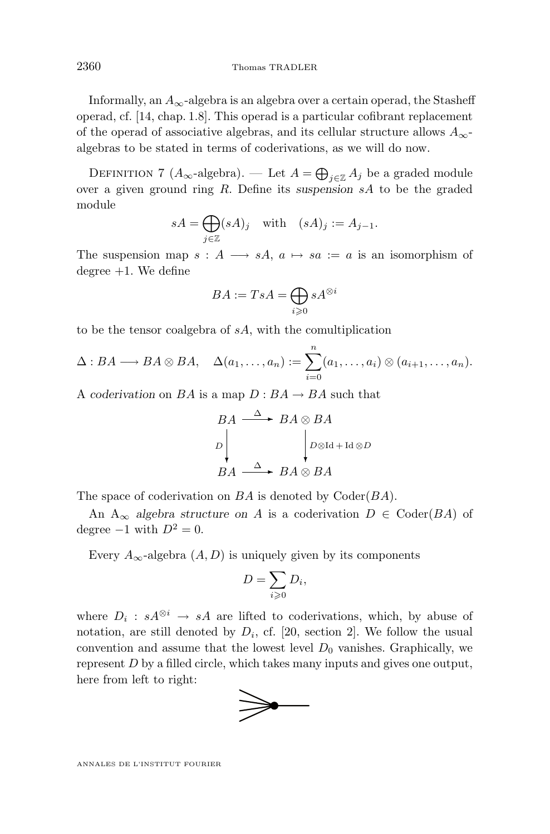<span id="page-10-0"></span>Informally, an  $A_{\infty}$ -algebra is an algebra over a certain operad, the Stasheff operad, cf. [\[14,](#page-28-0) chap. 1.8]. This operad is a particular cofibrant replacement of the operad of associative algebras, and its cellular structure allows  $A_{\infty}$ algebras to be stated in terms of coderivations, as we will do now.

DEFINITION 7 ( $A_{\infty}$ -algebra). — Let  $A = \bigoplus_{j \in \mathbb{Z}} A_j$  be a graded module over a given ground ring R. Define its *suspension* sA to be the graded module

$$
sA = \bigoplus_{j \in \mathbb{Z}} (sA)_j \quad \text{with} \quad (sA)_j := A_{j-1}.
$$

The suspension map  $s : A \longrightarrow sA, a \mapsto sa := a$  is an isomorphism of degree  $+1$ . We define

$$
BA := TsA = \bigoplus_{i \geqslant 0} sA^{\otimes i}
$$

to be the tensor coalgebra of sA, with the comultiplication

$$
\Delta: BA \longrightarrow BA \otimes BA, \quad \Delta(a_1, \ldots, a_n) := \sum_{i=0}^n (a_1, \ldots, a_i) \otimes (a_{i+1}, \ldots, a_n).
$$

A *coderivation* on BA is a map  $D : BA \rightarrow BA$  such that

$$
BA \xrightarrow{\Delta} BA \otimes BA
$$
  
\n
$$
D \downarrow \qquad D \otimes \text{Id} + \text{Id} \otimes D
$$
  
\n
$$
BA \xrightarrow{\Delta} BA \otimes BA
$$

The space of coderivation on  $BA$  is denoted by  $\text{Coder}(BA)$ .

An  $A_{\infty}$  *algebra structure on* A is a coderivation  $D \in \text{Coder}(BA)$  of degree  $-1$  with  $D^2 = 0$ .

Every  $A_{\infty}$ -algebra  $(A, D)$  is uniquely given by its components

$$
D=\sum_{i\geqslant 0}D_i,
$$

where  $D_i : sA^{\otimes i} \to sA$  are lifted to coderivations, which, by abuse of notation, are still denoted by  $D_i$ , cf. [\[20,](#page-29-0) section 2]. We follow the usual convention and assume that the lowest level  $D_0$  vanishes. Graphically, we represent D by a filled circle, which takes many inputs and gives one output, here from left to right:

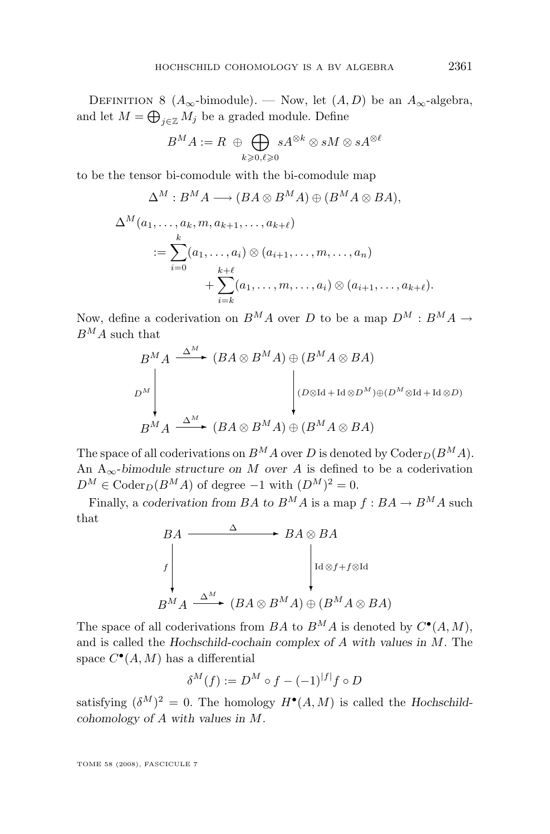DEFINITION 8 ( $A_{\infty}$ -bimodule). — Now, let  $(A, D)$  be an  $A_{\infty}$ -algebra, and let  $M = \bigoplus_{j \in \mathbb{Z}} M_j$  be a graded module. Define

$$
B^M A := R \; \oplus \bigoplus_{k \geqslant 0, \ell \geqslant 0} sA^{\otimes k} \otimes sM \otimes sA^{\otimes \ell}
$$

to be the tensor bi-comodule with the bi-comodule map

$$
\Delta^M : B^M A \longrightarrow (BA \otimes B^M A) \oplus (B^M A \otimes BA),
$$
  
\n
$$
\Delta^M (a_1, \dots, a_k, m, a_{k+1}, \dots, a_{k+\ell})
$$
  
\n
$$
:= \sum_{i=0}^k (a_1, \dots, a_i) \otimes (a_{i+1}, \dots, m, \dots, a_n)
$$
  
\n
$$
+ \sum_{i=k}^{k+\ell} (a_1, \dots, m, \dots, a_i) \otimes (a_{i+1}, \dots, a_{k+\ell}).
$$

Now, define a coderivation on  $B^M A$  over D to be a map  $D^M : B^M A \rightarrow$  $B^M A$  such that

$$
B^{M} A \xrightarrow{\Delta^{M}} (BA \otimes B^{M} A) \oplus (B^{M} A \otimes BA)
$$
  
\n
$$
D^{M} \downarrow \qquad \qquad (DA \otimes B^{M} A) \oplus (D^{M} \otimes \text{Id} + \text{Id} \otimes D)
$$
  
\n
$$
B^{M} A \xrightarrow{\Delta^{M}} (BA \otimes B^{M} A) \oplus (B^{M} A \otimes BA)
$$

The space of all coderivations on  $B^M A$  over D is denoted by  $\text{Coder}_D(B^M A)$ . An  $A_{\infty}$ -*bimodule structure on* M *over* A is defined to be a coderivation  $D^M \in \text{Coder}_D(B^M A)$  of degree  $-1$  with  $(D^M)^2 = 0$ .

Finally, a *coderivation from BA* to  $B^M A$  is a map  $f : BA \to B^M A$  such that

$$
BA \longrightarrow BA \otimes BA
$$
  

$$
B A \otimes B A
$$
  

$$
B^M A \xrightarrow{\Delta^M} (BA \otimes B^M A) \oplus (B^M A \otimes B A)
$$

The space of all coderivations from BA to  $B^M A$  is denoted by  $C^{\bullet}(A, M)$ , and is called the *Hochschild-cochain complex of* A *with values in* M. The space  $C^{\bullet}(A, M)$  has a differential

$$
\delta^M(f) := D^M \circ f - (-1)^{|f|} f \circ D
$$

satisfying  $(\delta^M)^2 = 0$ . The homology  $H^{\bullet}(A, M)$  is called the *Hochschildcohomology of* A *with values in* M.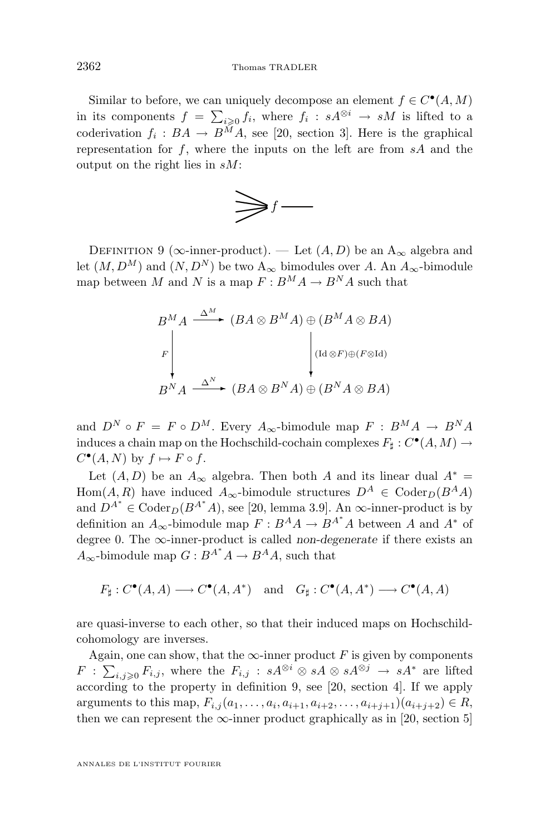<span id="page-12-0"></span>Similar to before, we can uniquely decompose an element  $f \in C^{\bullet}(A, M)$ in its components  $f = \sum_{i\geqslant 0} f_i$ , where  $f_i : sA^{\otimes i} \to sM$  is lifted to a coderivation  $f_i: BA \to B^M A$ , see [\[20,](#page-29-0) section 3]. Here is the graphical representation for  $f$ , where the inputs on the left are from  $sA$  and the output on the right lies in sM:



DEFINITION 9 ( $\infty$ -inner-product). — Let  $(A, D)$  be an  $A_{\infty}$  algebra and let  $(M, D^M)$  and  $(N, D^N)$  be two  $A_{\infty}$  bimodules over A. An  $A_{\infty}$ -bimodule map between M and N is a map  $F: B^M A \to B^N A$  such that

$$
B^{M} A \xrightarrow{\Delta^{M}} (BA \otimes B^{M} A) \oplus (B^{M} A \otimes BA)
$$
\n
$$
F \downarrow \qquad \qquad \downarrow (Id \otimes F) \oplus (F \otimes Id)
$$
\n
$$
B^{N} A \xrightarrow{\Delta^{N}} (BA \otimes B^{N} A) \oplus (B^{N} A \otimes BA)
$$

and  $D^N \circ F = F \circ D^M$ . Every  $A_{\infty}$ -bimodule map  $F : B^M A \to B^N A$ induces a chain map on the Hochschild-cochain complexes  $F_{\sharp}: C^{\bullet}(A, M) \to$  $C^{\bullet}(A, N)$  by  $f \mapsto F \circ f$ .

Let  $(A, D)$  be an  $A_{\infty}$  algebra. Then both A and its linear dual  $A^* =$ Hom(A, R) have induced  $A_{\infty}$ -bimodule structures  $D^A \in \text{Coder}_{D}(B^A A)$ and  $D^{A^*} \in \text{Coder}_{D}(B^{A^*}A)$ , see [\[20,](#page-29-0) lemma 3.9]. An  $\infty$ -inner-product is by definition an  $A_{\infty}$ -bimodule map  $F : B^A A \to B^{A^*} A$  between A and  $A^*$  of degree 0. The ∞-inner-product is called *non-degenerate* if there exists an  $A_{\infty}$ -bimodule map  $G: B^{A^*}A \to B^A A$ , such that

 $F_{\sharp}: C^{\bullet}(A, A) \longrightarrow C^{\bullet}(A, A^*) \text{ and } G_{\sharp}: C^{\bullet}(A, A^*) \longrightarrow C^{\bullet}(A, A)$ 

are quasi-inverse to each other, so that their induced maps on Hochschildcohomology are inverses.

Again, one can show, that the  $\infty$ -inner product F is given by components  $F: \sum_{i,j\geqslant 0} F_{i,j},$  where the  $F_{i,j} : sA^{\otimes i} \otimes sA \otimes sA^{\otimes j} \to sA^*$  are lifted according to the property in definition 9, see [\[20,](#page-29-0) section 4]. If we apply arguments to this map,  $F_{i,j}(a_1, \ldots, a_i, a_{i+1}, a_{i+2}, \ldots, a_{i+j+1})(a_{i+j+2}) \in R$ , then we can represent the  $\infty$ -inner product graphically as in [\[20,](#page-29-0) section 5]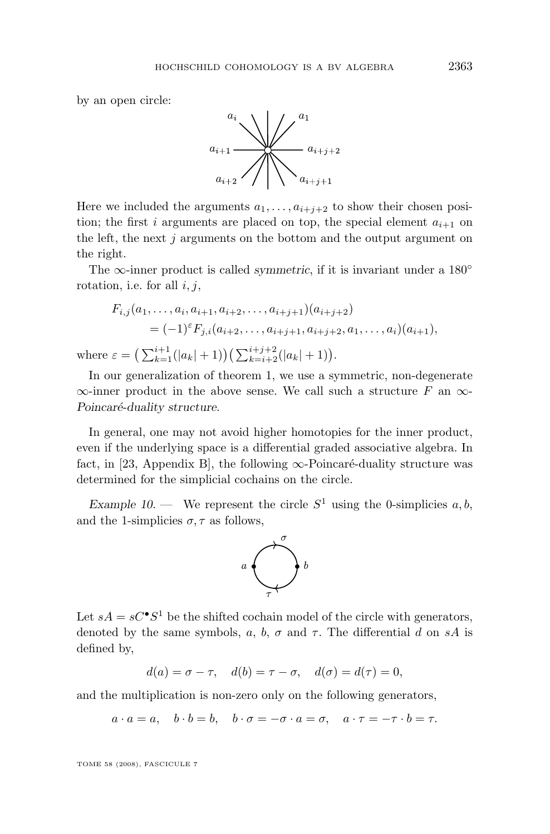by an open circle:

where



Here we included the arguments  $a_1, \ldots, a_{i+j+2}$  to show their chosen position; the first i arguments are placed on top, the special element  $a_{i+1}$  on the left, the next  $j$  arguments on the bottom and the output argument on the right.

The ∞-inner product is called *symmetric*, if it is invariant under a 180◦ rotation, i.e. for all  $i, j$ ,

$$
F_{i,j}(a_1, \ldots, a_i, a_{i+1}, a_{i+2}, \ldots, a_{i+j+1})(a_{i+j+2})
$$
  
=  $(-1)^{\varepsilon} F_{j,i}(a_{i+2}, \ldots, a_{i+j+1}, a_{i+j+2}, a_1, \ldots, a_i)(a_{i+1}),$   
 $\varepsilon = \left(\sum_{k=1}^{i+1} (|a_k|+1)\right) \left(\sum_{k=i+2}^{i+j+2} (|a_k|+1)\right).$ 

In our generalization of theorem [1,](#page-2-0) we use a symmetric, non-degenerate  $\infty$ -inner product in the above sense. We call such a structure F an  $\infty$ -*Poincaré-duality structure*.

In general, one may not avoid higher homotopies for the inner product, even if the underlying space is a differential graded associative algebra. In fact, in [\[23,](#page-29-0) Appendix B], the following  $\infty$ -Poincaré-duality structure was determined for the simplicial cochains on the circle.

*Example 10.* — We represent the circle  $S^1$  using the 0-simplicies  $a, b$ , and the 1-simplicies  $\sigma$ ,  $\tau$  as follows,



Let  $sA = sC^{\bullet}S^{1}$  be the shifted cochain model of the circle with generators, denoted by the same symbols, a, b,  $\sigma$  and  $\tau$ . The differential d on sA is defined by,

 $d(a) = \sigma - \tau$ ,  $d(b) = \tau - \sigma$ ,  $d(\sigma) = d(\tau) = 0$ ,

and the multiplication is non-zero only on the following generators,

 $a \cdot a = a$ ,  $b \cdot b = b$ ,  $b \cdot \sigma = -\sigma \cdot a = \sigma$ ,  $a \cdot \tau = -\tau \cdot b = \tau$ .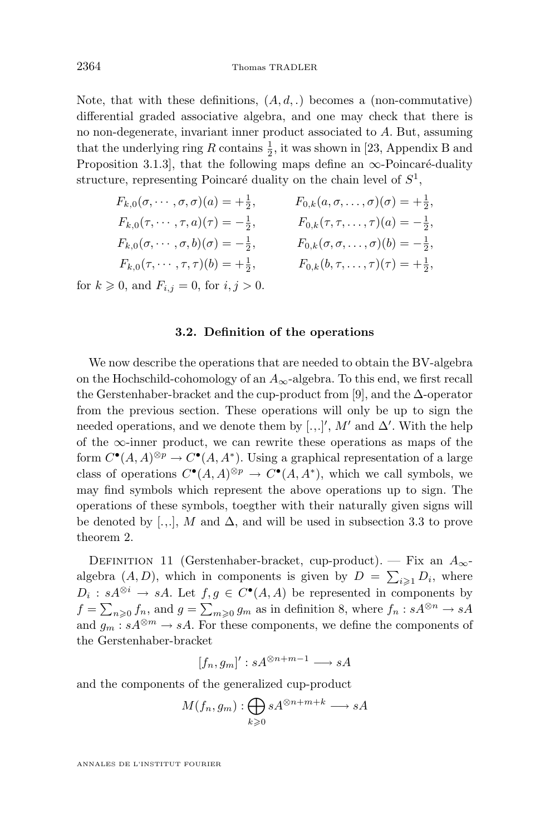<span id="page-14-0"></span>Note, that with these definitions,  $(A, d, \cdot)$  becomes a (non-commutative) differential graded associative algebra, and one may check that there is no non-degenerate, invariant inner product associated to A. But, assuming that the underlying ring R contains  $\frac{1}{2}$ , it was shown in [\[23,](#page-29-0) Appendix B and Proposition 3.1.3], that the following maps define an  $\infty$ -Poincaré-duality structure, representing Poincaré duality on the chain level of  $S^1$ ,

$$
F_{k,0}(\sigma, \cdots, \sigma, \sigma)(a) = +\frac{1}{2}, \qquad F_{0,k}(a, \sigma, \ldots, \sigma)(\sigma) = +\frac{1}{2}, \nF_{k,0}(\tau, \cdots, \tau, a)(\tau) = -\frac{1}{2}, \qquad F_{0,k}(\tau, \tau, \ldots, \tau)(a) = -\frac{1}{2}, \nF_{k,0}(\sigma, \cdots, \sigma, b)(\sigma) = -\frac{1}{2}, \qquad F_{0,k}(\sigma, \sigma, \ldots, \sigma)(b) = -\frac{1}{2}, \nF_{k,0}(\tau, \cdots, \tau, \tau)(b) = +\frac{1}{2}, \qquad F_{0,k}(b, \tau, \ldots, \tau)(\tau) = +\frac{1}{2},
$$

for  $k \geqslant 0$ , and  $F_{i,j} = 0$ , for  $i, j > 0$ .

#### **3.2. Definition of the operations**

We now describe the operations that are needed to obtain the BV-algebra on the Hochschild-cohomology of an  $A_{\infty}$ -algebra. To this end, we first recall the Gerstenhaber-bracket and the cup-product from [\[9\]](#page-28-0), and the  $\Delta$ -operator from the previous section. These operations will only be up to sign the needed operations, and we denote them by [.,.]', M' and  $\Delta'$ . With the help of the  $\infty$ -inner product, we can rewrite these operations as maps of the form  $C^{\bullet}(A, A)^{\otimes p} \to C^{\bullet}(A, A^*)$ . Using a graphical representation of a large class of operations  $C^{\bullet}(A, A)^{\otimes p} \to C^{\bullet}(A, A^*)$ , which we call symbols, we may find symbols which represent the above operations up to sign. The operations of these symbols, toegther with their naturally given signs will be denoted by [.,.], M and  $\Delta$ , and will be used in subsection [3.3](#page-23-0) to prove theorem [2.](#page-3-0)

DEFINITION 11 (Gerstenhaber-bracket, cup-product). — Fix an  $A_{\infty}$ algebra  $(A, D)$ , which in components is given by  $D = \sum_{i \geqslant 1} D_i$ , where  $D_i: sA^{\otimes i} \to sA$ . Let  $f, g \in C^{\bullet}(A, A)$  be represented in components by  $f = \sum_{n\geqslant 0} f_n$ , and  $g = \sum_{m\geqslant 0} g_m$  as in definition [8,](#page-10-0) where  $f_n : sA^{\otimes n} \to sA$ and  $g_m : sA^{\otimes m} \to sA$ . For these components, we define the components of the Gerstenhaber-bracket

$$
[f_n, g_m]' : sA^{\otimes n+m-1} \longrightarrow sA
$$

and the components of the generalized cup-product

$$
M(f_n, g_m): \bigoplus_{k \geq 0} sA^{\otimes n+m+k} \longrightarrow sA
$$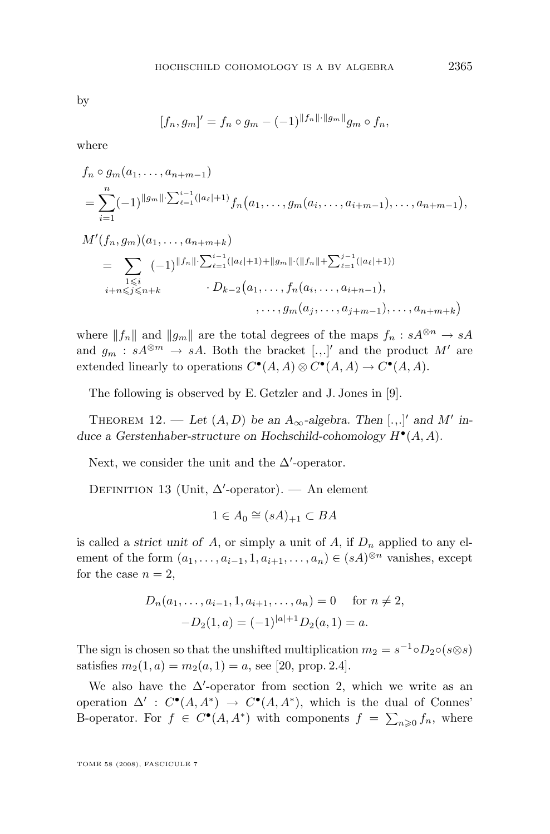by

$$
[f_n, g_m]' = f_n \circ g_m - (-1)^{\|f_n\| \cdot \|g_m\|} g_m \circ f_n,
$$

where

$$
f_n \circ g_m(a_1, \dots, a_{n+m-1})
$$
  
= 
$$
\sum_{i=1}^n (-1)^{\|g_m\|} \sum_{\ell=1}^{i-1} (|a_{\ell}|+1) f_n(a_1, \dots, g_m(a_i, \dots, a_{i+m-1}), \dots, a_{n+m-1}),
$$

$$
M'(f_n, g_m)(a_1, \ldots, a_{n+m+k})
$$
  
= 
$$
\sum_{\substack{1 \leq i \\ i+n \leq j \leq n+k}} (-1)^{\|f_n\|} \sum_{\substack{\ell=1 \\ \ell=1}}^{i-1} (|a_{\ell}|+1) + \|g_m\| \cdot (\|f_n\| + \sum_{\ell=1}^{j-1} (|a_{\ell}|+1))
$$
  

$$
\cdots, f_n(a_i, \ldots, a_{i+n-1}), \ldots, a_{n+m+k})
$$
  

$$
\cdots, g_m(a_j, \ldots, a_{j+m-1}), \ldots, a_{n+m+k})
$$

where  $||f_n||$  and  $||g_m||$  are the total degrees of the maps  $f_n : sA^{\otimes n} \to sA$ and  $g_m : sA^{\otimes m} \to sA$ . Both the bracket [...]' and the product M' are extended linearly to operations  $C^{\bullet}(A, A) \otimes C^{\bullet}(A, A) \to C^{\bullet}(A, A)$ .

The following is observed by E. Getzler and J. Jones in [\[9\]](#page-28-0).

THEOREM 12. — Let  $(A, D)$  be an  $A_{\infty}$ -algebra. Then [...]' and M' in*duce a Gerstenhaber-structure on Hochschild-cohomology* H• (A, A)*.*

Next, we consider the unit and the  $\Delta'$ -operator.

DEFINITION 13 (Unit,  $\Delta'$ -operator). — An element

$$
1 \in A_0 \cong (sA)_{+1} \subset BA
$$

is called a *strict unit of A*, or simply a unit of A, if  $D_n$  applied to any element of the form  $(a_1, \ldots, a_{i-1}, 1, a_{i+1}, \ldots, a_n) \in (sA)^{\otimes n}$  vanishes, except for the case  $n = 2$ ,

$$
D_n(a_1, \ldots, a_{i-1}, 1, a_{i+1}, \ldots, a_n) = 0 \quad \text{for } n \neq 2,
$$
  

$$
-D_2(1, a) = (-1)^{|a|+1} D_2(a, 1) = a.
$$

The sign is chosen so that the unshifted multiplication  $m_2 = s^{-1} \circ D_2 \circ (s \otimes s)$ satisfies  $m_2(1, a) = m_2(a, 1) = a$ , see [\[20,](#page-29-0) prop. 2.4].

We also have the  $\Delta'$ -operator from section [2,](#page-4-0) which we write as an operation  $\Delta'$ :  $C^{\bullet}(A, A^*) \to C^{\bullet}(A, A^*)$ , which is the dual of Connes' B-operator. For  $f \in C^{\bullet}(A, A^*)$  with components  $f = \sum_{n\geqslant 0} f_n$ , where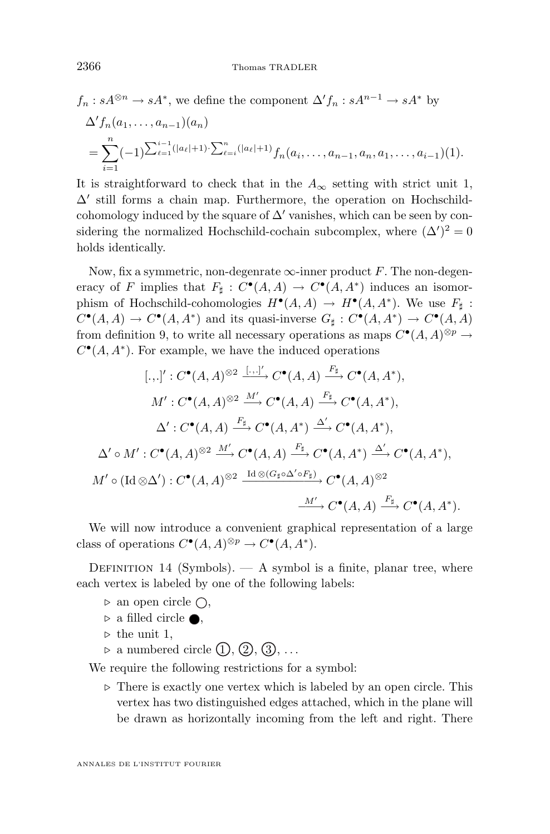$$
f_n: sA^{\otimes n} \to sA^*,
$$
 we define the component  $\Delta' f_n: sA^{n-1} \to sA^*$  by  
\n
$$
\Delta' f_n(a_1, \ldots, a_{n-1})(a_n)
$$
\n
$$
= \sum_{i=1}^n (-1)^{\sum_{\ell=1}^{i-1}(|a_\ell|+1)} \sum_{\ell=i}^n (|a_\ell|+1) f_n(a_i, \ldots, a_{n-1}, a_n, a_1, \ldots, a_{i-1})(1).
$$

It is straightforward to check that in the  $A_{\infty}$  setting with strict unit 1, ∆' still forms a chain map. Furthermore, the operation on Hochschildcohomology induced by the square of  $\Delta'$  vanishes, which can be seen by considering the normalized Hochschild-cochain subcomplex, where  $(\Delta')^2 = 0$ holds identically.

Now, fix a symmetric, non-degenrate  $\infty$ -inner product F. The non-degeneracy of F implies that  $F_{\sharp}: C^{\bullet}(A, A) \to C^{\bullet}(A, A^*)$  induces an isomorphism of Hochschild-cohomologies  $H^{\bullet}(A, A) \to H^{\bullet}(A, A^*)$ . We use  $F_{\sharp}$ :  $C^{\bullet}(A, A) \to C^{\bullet}(A, A^*)$  and its quasi-inverse  $G_{\sharp}: C^{\bullet}(A, A^*) \to C^{\bullet}(A, A)$ from definition [9,](#page-12-0) to write all necessary operations as maps  $C^{\bullet}(A, A)^{\otimes p} \to$  $C^{\bullet}(A, A^*)$ . For example, we have the induced operations

$$
[\cdot, \cdot]' : C^{\bullet}(A, A)^{\otimes 2} \xrightarrow{[\cdot, \cdot]'} C^{\bullet}(A, A) \xrightarrow{F_{\sharp}} C^{\bullet}(A, A^{*}),
$$
  

$$
M' : C^{\bullet}(A, A)^{\otimes 2} \xrightarrow{M'} C^{\bullet}(A, A) \xrightarrow{F_{\sharp}} C^{\bullet}(A, A^{*}),
$$
  

$$
\Delta' : C^{\bullet}(A, A) \xrightarrow{F_{\sharp}} C^{\bullet}(A, A^{*}) \xrightarrow{\Delta'} C^{\bullet}(A, A^{*}),
$$
  

$$
\Delta' \circ M' : C^{\bullet}(A, A)^{\otimes 2} \xrightarrow{M'} C^{\bullet}(A, A) \xrightarrow{F_{\sharp}} C^{\bullet}(A, A^{*}) \xrightarrow{\Delta'} C^{\bullet}(A, A^{*}),
$$
  

$$
M' \circ (\text{Id} \otimes \Delta') : C^{\bullet}(A, A)^{\otimes 2} \xrightarrow{\text{Id} \otimes (G_{\sharp} \circ \Delta' \circ F_{\sharp})} C^{\bullet}(A, A)^{\otimes 2}
$$
  

$$
\xrightarrow{M'} C^{\bullet}(A, A) \xrightarrow{F_{\sharp}} C^{\bullet}(A, A^{*}).
$$

We will now introduce a convenient graphical representation of a large class of operations  $C^{\bullet}(A, A)^{\otimes p} \to C^{\bullet}(A, A^*)$ .

DEFINITION 14 (Symbols).  $- A$  symbol is a finite, planar tree, where each vertex is labeled by one of the following labels:

- $\triangleright$  an open circle  $\bigcirc$ ,
- $\triangleright$  a filled circle  $\bullet$ ,
- $\triangleright$  the unit 1,
- $\rhd$  a numbered circle  $(1), (2), (3), \ldots$

We require the following restrictions for a symbol:

 $\triangleright$  There is exactly one vertex which is labeled by an open circle. This vertex has two distinguished edges attached, which in the plane will be drawn as horizontally incoming from the left and right. There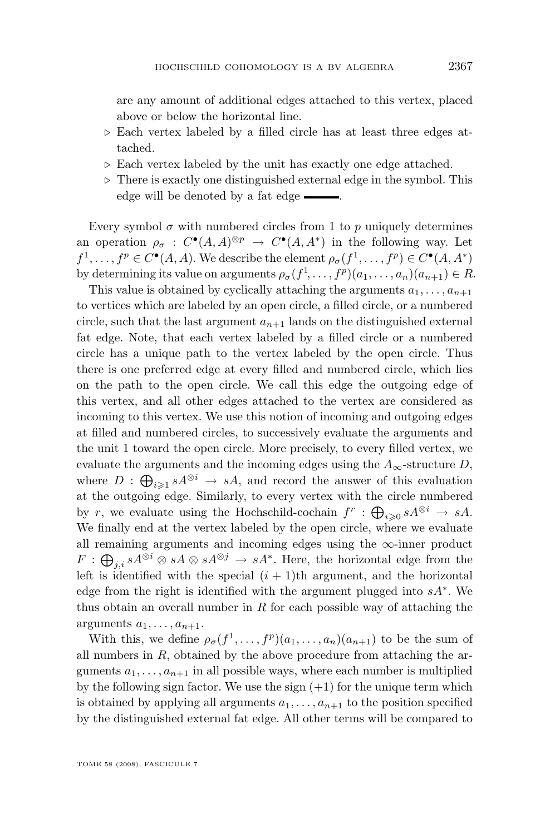are any amount of additional edges attached to this vertex, placed above or below the horizontal line.

- $\triangleright$  Each vertex labeled by a filled circle has at least three edges attached.
- $\triangleright$  Each vertex labeled by the unit has exactly one edge attached.
- $\triangleright$  There is exactly one distinguished external edge in the symbol. This edge will be denoted by a fat edge  $\frac{1}{\sqrt{2\pi}}$ .

Every symbol  $\sigma$  with numbered circles from 1 to p uniquely determines an operation  $\rho_{\sigma} : C^{\bullet}(A, A)^{\otimes p} \to C^{\bullet}(A, A^*)$  in the following way. Let  $f^1, \ldots, f^p \in C^{\bullet}(A, A)$ . We describe the element  $\rho_{\sigma}(f^1, \ldots, f^p) \in C^{\bullet}(A, A^*)$ by determining its value on arguments  $\rho_{\sigma}(f^1, \ldots, f^p)(a_1, \ldots, a_n)(a_{n+1}) \in R$ .

This value is obtained by cyclically attaching the arguments  $a_1, \ldots, a_{n+1}$ to vertices which are labeled by an open circle, a filled circle, or a numbered circle, such that the last argument  $a_{n+1}$  lands on the distinguished external fat edge. Note, that each vertex labeled by a filled circle or a numbered circle has a unique path to the vertex labeled by the open circle. Thus there is one preferred edge at every filled and numbered circle, which lies on the path to the open circle. We call this edge the outgoing edge of this vertex, and all other edges attached to the vertex are considered as incoming to this vertex. We use this notion of incoming and outgoing edges at filled and numbered circles, to successively evaluate the arguments and the unit 1 toward the open circle. More precisely, to every filled vertex, we evaluate the arguments and the incoming edges using the  $A_{\infty}$ -structure D, where  $D : \bigoplus_{i \geqslant 1} sA^{\otimes i} \to sA$ , and record the answer of this evaluation at the outgoing edge. Similarly, to every vertex with the circle numbered by r, we evaluate using the Hochschild-cochain  $f^r$ :  $\bigoplus_{i\geqslant 0} sA^{\otimes i} \to sA$ . We finally end at the vertex labeled by the open circle, where we evaluate all remaining arguments and incoming edges using the  $\infty$ -inner product  $F: \bigoplus_{j,i} sA^{\otimes i} \otimes sA \otimes sA^{\otimes j} \to sA^*$ . Here, the horizontal edge from the left is identified with the special  $(i + 1)$ th argument, and the horizontal edge from the right is identified with the argument plugged into  $sA^*$ . We thus obtain an overall number in  $R$  for each possible way of attaching the arguments  $a_1, \ldots, a_{n+1}$ .

With this, we define  $\rho_{\sigma}(f^1,\ldots,f^p)(a_1,\ldots,a_n)(a_{n+1})$  to be the sum of all numbers in  $R$ , obtained by the above procedure from attaching the arguments  $a_1, \ldots, a_{n+1}$  in all possible ways, where each number is multiplied by the following sign factor. We use the sign  $(+1)$  for the unique term which is obtained by applying all arguments  $a_1, \ldots, a_{n+1}$  to the position specified by the distinguished external fat edge. All other terms will be compared to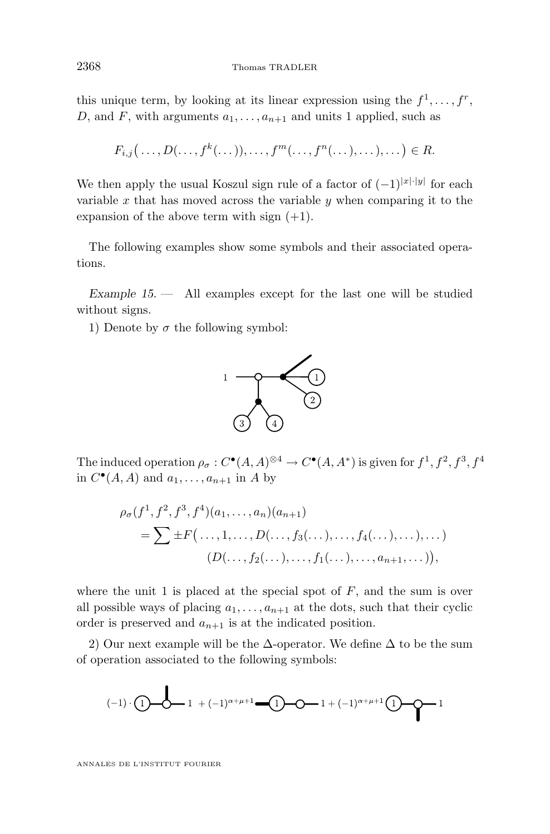<span id="page-18-0"></span>this unique term, by looking at its linear expression using the  $f^1, \ldots, f^r$ , D, and F, with arguments  $a_1, \ldots, a_{n+1}$  and units 1 applied, such as

$$
F_{i,j}\big(\ldots,D(\ldots,f^k(\ldots)),\ldots,f^m(\ldots,f^n(\ldots),\ldots),\ldots\big)\in R.
$$

We then apply the usual Koszul sign rule of a factor of  $(-1)^{|x|\cdot|y|}$  for each variable x that has moved across the variable  $y$  when comparing it to the expansion of the above term with sign  $(+1)$ .

The following examples show some symbols and their associated operations.

*Example 15. —* All examples except for the last one will be studied without signs.

1) Denote by  $\sigma$  the following symbol:



The induced operation  $\rho_{\sigma}: C^{\bullet}(A, A)^{\otimes 4} \to C^{\bullet}(A, A^*)$  is given for  $f^1, f^2, f^3, f^4$ in  $C^{\bullet}(A, A)$  and  $a_1, \ldots, a_{n+1}$  in A by

$$
\rho_{\sigma}(f^{1}, f^{2}, f^{3}, f^{4})(a_{1}, \ldots, a_{n})(a_{n+1})
$$
  
=  $\sum \pm F(\ldots, 1, \ldots, D(\ldots, f_{3}(\ldots), \ldots, f_{4}(\ldots), \ldots), \ldots)$   

$$
(D(\ldots, f_{2}(\ldots), \ldots, f_{1}(\ldots), \ldots, a_{n+1}, \ldots)),
$$

where the unit 1 is placed at the special spot of  $F$ , and the sum is over all possible ways of placing  $a_1, \ldots, a_{n+1}$  at the dots, such that their cyclic order is preserved and  $a_{n+1}$  is at the indicated position.

2) Our next example will be the  $\Delta$ -operator. We define  $\Delta$  to be the sum of operation associated to the following symbols:

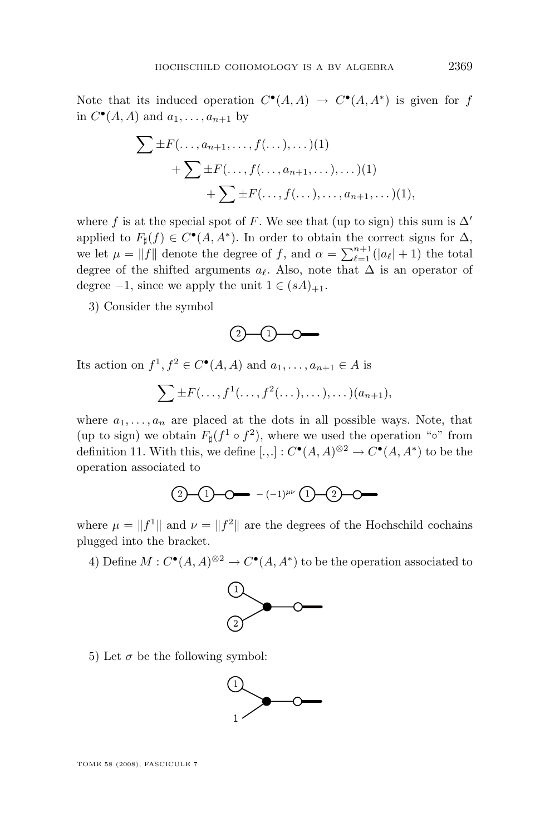Note that its induced operation  $C^{\bullet}(A, A) \to C^{\bullet}(A, A^*)$  is given for f in  $C^{\bullet}(A, A)$  and  $a_1, \ldots, a_{n+1}$  by

$$
\sum \pm F(\ldots, a_{n+1}, \ldots, f(\ldots), \ldots)(1) + \sum \pm F(\ldots, f(\ldots, a_{n+1}, \ldots), \ldots)(1) + \sum \pm F(\ldots, f(\ldots), \ldots, a_{n+1}, \ldots)(1),
$$

where f is at the special spot of F. We see that (up to sign) this sum is  $\Delta'$ applied to  $F_{\sharp}(f) \in C^{\bullet}(A, A^*)$ . In order to obtain the correct signs for  $\Delta$ , we let  $\mu = ||f||$  denote the degree of f, and  $\alpha = \sum_{\ell=1}^{n+1} (|a_{\ell}| + 1)$  the total degree of the shifted arguments  $a_{\ell}$ . Also, note that  $\Delta$  is an operator of degree  $-1$ , since we apply the unit  $1 \in (sA)_{+1}$ .

3) Consider the symbol



Its action on  $f^1, f^2 \in C^{\bullet}(A, A)$  and  $a_1, \ldots, a_{n+1} \in A$  is

 $\sum \pm F(\ldots, f^{1}(\ldots, f^{2}(\ldots), \ldots), \ldots)(a_{n+1}),$ 

where  $a_1, \ldots, a_n$  are placed at the dots in all possible ways. Note, that (up to sign) we obtain  $F_{\sharp}(f^1 \circ f^2)$ , where we used the operation "<sup>o</sup>" from definition [11.](#page-14-0) With this, we define  $[.,.]: C^{\bullet}(A, A)^{\otimes 2} \to C^{\bullet}(A, A^*)$  to be the operation associated to



where  $\mu = \|f^1\|$  and  $\nu = \|f^2\|$  are the degrees of the Hochschild cochains plugged into the bracket.

4) Define  $M: C^{\bullet}(A, A)^{\otimes 2} \to C^{\bullet}(A, A^*)$  to be the operation associated to



5) Let  $\sigma$  be the following symbol:

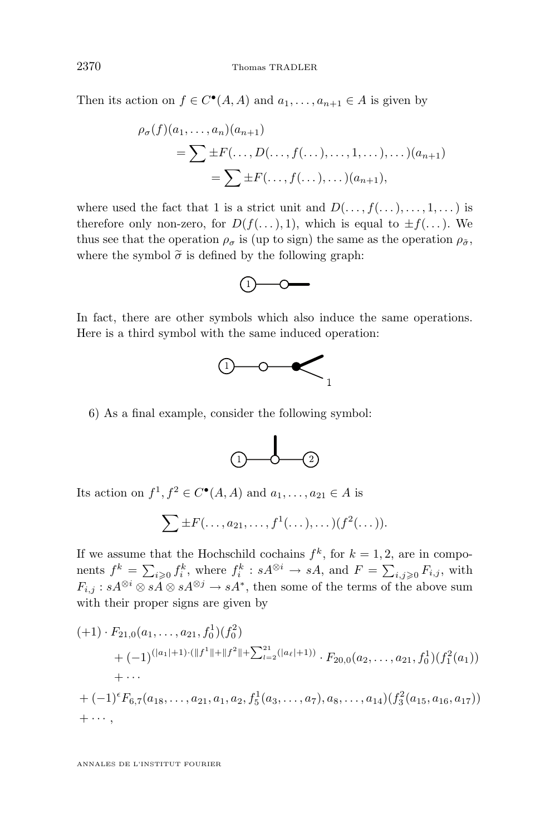Then its action on  $f \in C^{\bullet}(A, A)$  and  $a_1, \ldots, a_{n+1} \in A$  is given by

$$
\rho_{\sigma}(f)(a_1, ..., a_n)(a_{n+1})
$$
  
=  $\sum \pm F(..., D(..., f(...), ..., 1,...), ...)(a_{n+1})$   
=  $\sum \pm F(..., f(...), ...)(a_{n+1}),$ 

where used the fact that 1 is a strict unit and  $D(\ldots, f(\ldots), \ldots, 1, \ldots)$  is therefore only non-zero, for  $D(f(\ldots),1)$ , which is equal to  $\pm f(\ldots)$ . We thus see that the operation  $\rho_{\sigma}$  is (up to sign) the same as the operation  $\rho_{\tilde{\sigma}}$ , where the symbol  $\tilde{\sigma}$  is defined by the following graph:



In fact, there are other symbols which also induce the same operations. Here is a third symbol with the same induced operation:



6) As a final example, consider the following symbol:



Its action on  $f^1, f^2 \in C^{\bullet}(A, A)$  and  $a_1, \ldots, a_{21} \in A$  is

$$
\sum \pm F(\ldots, a_{21}, \ldots, f^1(\ldots), \ldots)(f^2(\ldots)).
$$

If we assume that the Hochschild cochains  $f^k$ , for  $k = 1, 2$ , are in components  $f^k = \sum_{i\geqslant 0} f_i^k$ , where  $f_i^k : sA^{\otimes i} \to sA$ , and  $F = \sum_{i,j\geqslant 0} F_{i,j}$ , with  $F_{i,j} : sA^{\otimes i} \otimes sA \otimes sA^{\otimes j} \to sA^*$ , then some of the terms of the above sum with their proper signs are given by

$$
(+1) \cdot F_{21,0}(a_1,\ldots,a_{21},f_0^1)(f_0^2)
$$
  
+  $(-1)^{(|a_1|+1)\cdot(||f^1||+||f^2||+\sum_{l=2}^{21}(|a_l|+1))} \cdot F_{20,0}(a_2,\ldots,a_{21},f_0^1)(f_1^2(a_1))$   
+  $\cdots$   
+  $(-1)^{\epsilon}F_{6,7}(a_{18},\ldots,a_{21},a_1,a_2,f_5^1(a_3,\ldots,a_7),a_8,\ldots,a_{14})(f_3^2(a_{15},a_{16},a_{17}))$   
+  $\cdots$ ,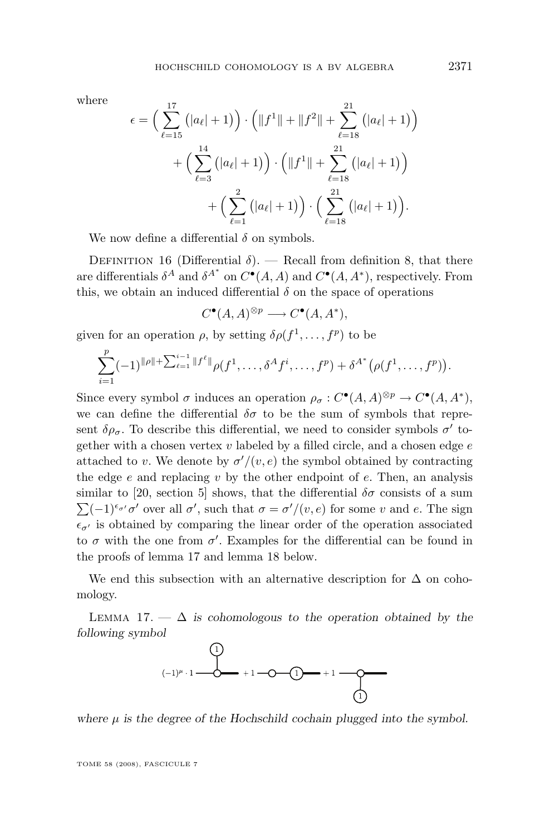<span id="page-21-0"></span>where

$$
\epsilon = \left(\sum_{\ell=15}^{17} (|a_{\ell}|+1)\right) \cdot \left(\|f^{1}\| + \|f^{2}\| + \sum_{\ell=18}^{21} (|a_{\ell}|+1)\right) + \left(\sum_{\ell=3}^{14} (|a_{\ell}|+1)\right) \cdot \left(\|f^{1}\| + \sum_{\ell=18}^{21} (|a_{\ell}|+1)\right) + \left(\sum_{\ell=1}^{2} (|a_{\ell}|+1)\right) \cdot \left(\sum_{\ell=18}^{21} (|a_{\ell}|+1)\right).
$$

We now define a differential  $\delta$  on symbols.

DEFINITION 16 (Differential  $\delta$ ). — Recall from definition [8,](#page-10-0) that there are differentials  $\delta^A$  and  $\delta^{A^*}$  on  $C^{\bullet}(A, A)$  and  $C^{\bullet}(A, A^*)$ , respectively. From this, we obtain an induced differential  $\delta$  on the space of operations

$$
C^{\bullet}(A,A)^{\otimes p} \longrightarrow C^{\bullet}(A,A^*),
$$

given for an operation  $\rho$ , by setting  $\delta \rho(f^1, \ldots, f^p)$  to be

$$
\sum_{i=1}^p (-1)^{\|\rho\|+\sum_{\ell=1}^{i-1} \|f^{\ell}\|} \rho(f^1,\ldots,\delta^A f^i,\ldots,f^p) + \delta^{A^*} (\rho(f^1,\ldots,f^p)).
$$

Since every symbol  $\sigma$  induces an operation  $\rho_{\sigma}: C^{\bullet}(A, A)^{\otimes p} \to C^{\bullet}(A, A^*),$ we can define the differential  $\delta\sigma$  to be the sum of symbols that represent  $\delta \rho_{\sigma}$ . To describe this differential, we need to consider symbols  $\sigma'$  together with a chosen vertex  $v$  labeled by a filled circle, and a chosen edge  $e$ attached to v. We denote by  $\sigma'/(v, e)$  the symbol obtained by contracting the edge  $e$  and replacing  $v$  by the other endpoint of  $e$ . Then, an analysis similar to [\[20,](#page-29-0) section 5] shows, that the differential  $\delta\sigma$  consists of a sum  $\sum (-1)^{\epsilon_{\sigma'}} \sigma'$  over all  $\sigma'$ , such that  $\sigma = \sigma'/(v, e)$  for some v and e. The sign  $\epsilon_{\sigma'}$  is obtained by comparing the linear order of the operation associated to  $\sigma$  with the one from  $\sigma'$ . Examples for the differential can be found in the proofs of lemma 17 and lemma [18](#page-23-0) below.

We end this subsection with an alternative description for  $\Delta$  on cohomology.

LEMMA 17.  $\Delta$  is cohomologous to the operation obtained by the *following symbol*



where  $\mu$  is the degree of the Hochschild cochain plugged into the symbol.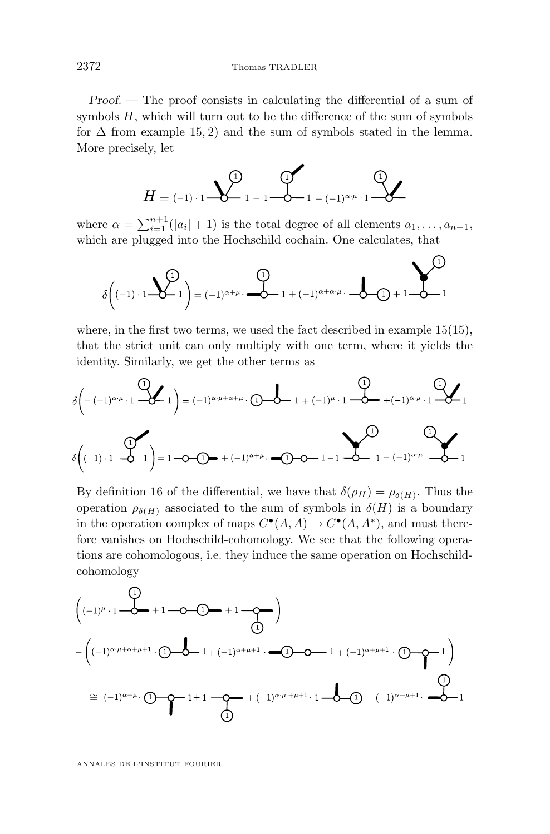*Proof. —* The proof consists in calculating the differential of a sum of symbols  $H$ , which will turn out to be the difference of the sum of symbols for  $\Delta$  from example [15,](#page-18-0) 2) and the sum of symbols stated in the lemma. More precisely, let



where  $\alpha = \sum_{i=1}^{n+1} (|a_i| + 1)$  is the total degree of all elements  $a_1, \ldots, a_{n+1}$ , which are plugged into the Hochschild cochain. One calculates, that

 $\bigcap$ 

$$
\delta\left((-1)\cdot 1\sum_{i=1}^{n} \delta\left((-1)\right)^{\alpha+\mu} \cdot \sum_{i=1}^{n} \delta\left((-1)\right)^{\alpha+\alpha+\mu} \cdot \sum_{i=1}^{n} \delta\left((-1)\right)^{\alpha+\alpha+\mu} \cdot \sum_{i=1}^{n} \delta\left((-1)\right)^{\alpha+\alpha+\mu} \cdot \sum_{i=1}^{n} \delta\left((-1)\right)^{\alpha+\alpha+\mu} \cdot \sum_{i=1}^{n} \delta\left((-1)\right)^{\alpha+\alpha+\mu} \cdot \sum_{i=1}^{n} \delta\left((-1)\right)^{\alpha+\alpha+\mu} \cdot \sum_{i=1}^{n} \delta\left((-1)\right)^{\alpha+\alpha+\mu} \cdot \sum_{i=1}^{n} \delta\left((-1)\right)^{\alpha+\alpha+\mu} \cdot \sum_{i=1}^{n} \delta\left((-1)\right)^{\alpha+\alpha+\mu} \cdot \sum_{i=1}^{n} \delta\left((-1)\right)^{\alpha+\alpha+\mu} \cdot \sum_{i=1}^{n} \delta\left((-1)\right)^{\alpha+\alpha+\mu} \cdot \sum_{i=1}^{n} \delta\left((-1)\right)^{\alpha+\alpha+\mu} \cdot \sum_{i=1}^{n} \delta\left((-1)\right)^{\alpha+\alpha+\mu} \cdot \sum_{i=1}^{n} \delta\left((-1)\right)^{\alpha+\alpha+\mu} \cdot \sum_{i=1}^{n} \delta\left((-1)\right)^{\alpha+\alpha+\mu} \cdot \sum_{i=1}^{n} \delta\left((-1)\right)^{\alpha+\alpha+\mu} \cdot \sum_{i=1}^{n} \delta\left((-1)\right)^{\alpha+\alpha+\mu} \cdot \sum_{i=1}^{n} \delta\left((-1)\right)^{\alpha+\alpha+\mu} \cdot \sum_{i=1}^{n} \delta\left((-1)\right)^{\alpha+\alpha+\mu} \cdot \sum_{i=1}^{n} \delta\left((-1)\right)^{\alpha+\alpha+\mu} \cdot \sum_{i=1}^{n} \delta\left((-1)\right)^{\alpha+\alpha+\mu} \cdot \sum_{i=1}^{n} \delta\left((-1)\right)^{\alpha+\alpha+\mu} \cdot \sum_{i=1}^{n} \delta\left((-1)\right)^{\alpha+\alpha+\mu} \cdot \sum_{i=1}^{n} \delta\left((-1)\right)^{\alpha+\alpha+\mu} \cdot \sum_{i=1}^{n} \delta\left((-1)\right)^{\alpha+\alpha+\mu}
$$

where, in the first two terms, we used the fact described in example [15\(15\)](#page-18-0), that the strict unit can only multiply with one term, where it yields the identity. Similarly, we get the other terms as

$$
\delta\left(-(-1)^{\alpha\cdot\mu} \cdot 1 \xrightarrow{\text{Q}} 1\right) = (-1)^{\alpha\cdot\mu + \alpha + \mu} \cdot 0 \xrightarrow{\text{Q}} 1 + (-1)^{\mu} \cdot 1 \xrightarrow{\text{Q}} + (-1)^{\alpha\cdot\mu} \cdot 1 \xrightarrow{\text{Q}} 1
$$
\n
$$
\delta\left((-1) \cdot 1 \xrightarrow{\text{Q}} 1\right) = 1 \xrightarrow{\text{Q}} 0 \xrightarrow{\text{Q}} + (-1)^{\alpha + \mu} \cdot \xrightarrow{\text{Q}} 0 \xrightarrow{\text{Q}} 1 - (-1)^{\alpha\cdot\mu} \cdot \xrightarrow{\text{Q}} 1
$$

By definition [16](#page-21-0) of the differential, we have that  $\delta(\rho_H) = \rho_{\delta(H)}$ . Thus the operation  $\rho_{\delta(H)}$  associated to the sum of symbols in  $\delta(H)$  is a boundary in the operation complex of maps  $C^{\bullet}(A, A) \to C^{\bullet}(A, A^*)$ , and must therefore vanishes on Hochschild-cohomology. We see that the following operations are cohomologous, i.e. they induce the same operation on Hochschildcohomology

$$
\begin{pmatrix}\n\begin{pmatrix}\n\frac{1}{2} \\
(-1)^{\mu} \cdot 1 & -\frac{1}{2} \\
-\frac{1}{2} & -\frac{1}{2} \\
-\frac{1}{2} & -\frac{1}{2} \\
-\frac{1}{2} & -\frac{1}{2} \\
-\frac{1}{2} & -\frac{1}{2} \\
-\frac{1}{2} & -\frac{1}{2} \\
-\frac{1}{2} & -\frac{1}{2} \\
-\frac{1}{2} & -\frac{1}{2} \\
-\frac{1}{2} & -\frac{1}{2} \\
-\frac{1}{2} & -\frac{1}{2} \\
-\frac{1}{2} & -\frac{1}{2} \\
-\frac{1}{2} & -\frac{1}{2} \\
-\frac{1}{2} & -\frac{1}{2} \\
-\frac{1}{2} & -\frac{1}{2} \\
-\frac{1}{2} & -\frac{1}{2} \\
-\frac{1}{2} & -\frac{1}{2} \\
-\frac{1}{2} & -\frac{1}{2} \\
-\frac{1}{2} & -\frac{1}{2} \\
-\frac{1}{2} & -\frac{1}{2} \\
-\frac{1}{2} & -\frac{1}{2} \\
-\frac{1}{2} & -\frac{1}{2} \\
-\frac{1}{2} & -\frac{1}{2} \\
-\frac{1}{2} & -\frac{1}{2} \\
-\frac{1}{2} & -\frac{1}{2} \\
-\frac{1}{2} & -\frac{1}{2} \\
-\frac{1}{2} & -\frac{1}{2} \\
-\frac{1}{2} & -\frac{1}{2} \\
-\frac{1}{2} & -\frac{1}{2} \\
-\frac{1}{2} & -\frac{1}{2} \\
-\frac{1}{2} & -\frac{1}{2} \\
-\frac{1}{2} & -\frac{1}{2} \\
-\frac{1}{2} & -\frac{1}{2} \\
-\frac{1}{2} & -\frac{1}{2} \\
-\frac{1}{2} & -\frac{1}{2} \\
-\frac{1}{2} & -\frac{1}{2} \\
-\frac{1}{2} & -\frac{1}{2} \\
-\frac{1}{2} & -\frac{1}{2} \\
-\frac{1}{2} & -\frac{1}{2} \\
-\frac{1}{2} & -\frac{1}{2} \\
-\frac{1}{2} & -\frac{1}{2} \\
-\frac{1}{2} & -\frac{1}{2} \\
-\frac{1}{2} & -\frac{1}{2} \\
-\frac{1}{2} & -\frac{1}{2} \\
-\frac{1
$$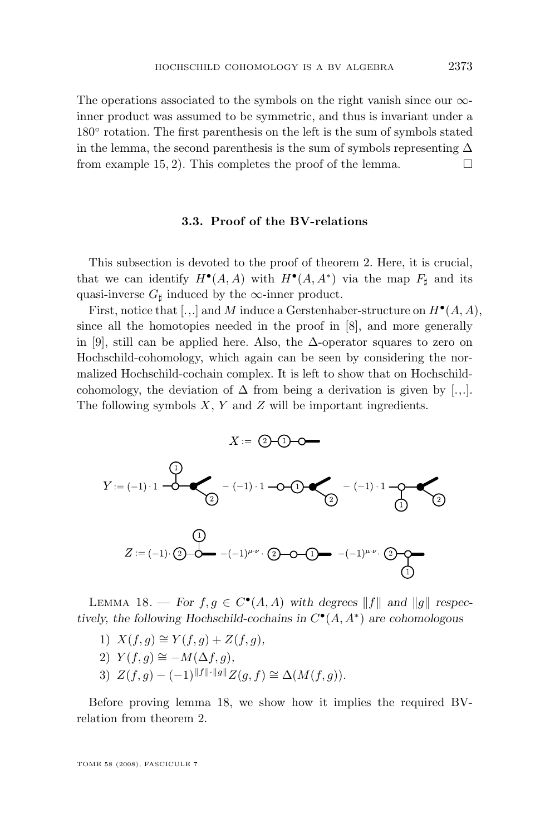<span id="page-23-0"></span>The operations associated to the symbols on the right vanish since our  $\infty$ inner product was assumed to be symmetric, and thus is invariant under a 180° rotation. The first parenthesis on the left is the sum of symbols stated in the lemma, the second parenthesis is the sum of symbols representing  $\Delta$ from example [15,](#page-18-0) 2). This completes the proof of the lemma.  $\Box$ 

#### **3.3. Proof of the BV-relations**

This subsection is devoted to the proof of theorem [2.](#page-3-0) Here, it is crucial, that we can identify  $H^{\bullet}(A, A)$  with  $H^{\bullet}(A, A^*)$  via the map  $F_{\sharp}$  and its quasi-inverse  $G_{\sharp}$  induced by the  $\infty$ -inner product.

First, notice that [.,.] and M induce a Gerstenhaber-structure on  $H^{\bullet}(A, A)$ , since all the homotopies needed in the proof in [\[8\]](#page-28-0), and more generally in [\[9\]](#page-28-0), still can be applied here. Also, the  $\Delta$ -operator squares to zero on Hochschild-cohomology, which again can be seen by considering the normalized Hochschild-cochain complex. It is left to show that on Hochschildcohomology, the deviation of  $\Delta$  from being a derivation is given by [...]. The following symbols  $X, Y$  and  $Z$  will be important ingredients.



LEMMA 18. — For  $f, g \in C^{\bullet}(A, A)$  with degrees  $||f||$  and  $||g||$  respec*tively, the following Hochschild-cochains in*  $C^{\bullet}(A, A^*)$  *are cohomologous* 

- 1)  $X(f, q) \cong Y(f, q) + Z(f, q)$ ,
- 2)  $Y(f, q) \cong -M(\Delta f, q)$ ,
- 3)  $Z(f, q) (-1)^{||f|| \cdot ||g||} Z(q, f) \cong \Delta(M(f, q)).$

Before proving lemma 18, we show how it implies the required BVrelation from theorem [2.](#page-3-0)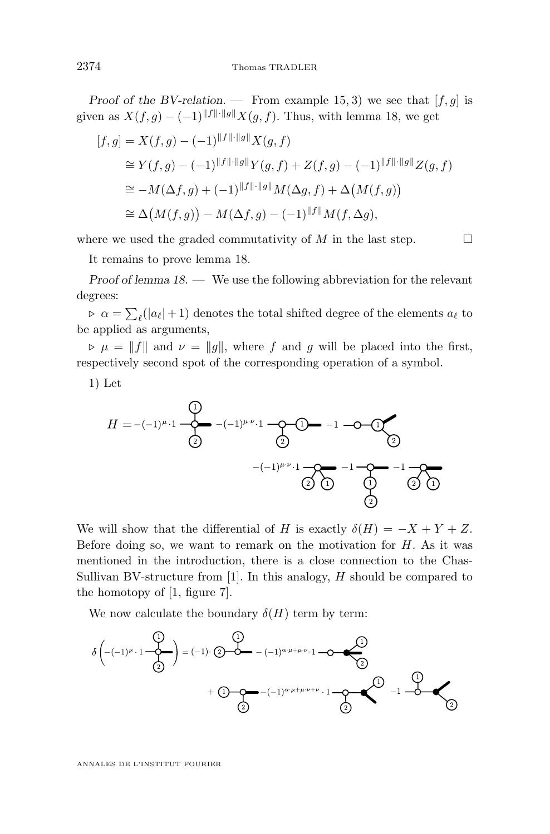*Proof of the BV-relation.* — From example [15,](#page-18-0) 3) we see that  $[f, g]$  is given as  $X(f, g) - (-1)^{||f|| \cdot ||g||} X(g, f)$ . Thus, with lemma [18,](#page-23-0) we get

$$
[f,g] = X(f,g) - (-1)^{||f|| \cdot ||g||} X(g,f)
$$
  
\n
$$
\cong Y(f,g) - (-1)^{||f|| \cdot ||g||} Y(g,f) + Z(f,g) - (-1)^{||f|| \cdot ||g||} Z(g,f)
$$
  
\n
$$
\cong -M(\Delta f,g) + (-1)^{||f|| \cdot ||g||} M(\Delta g,f) + \Delta \big( M(f,g) \big)
$$
  
\n
$$
\cong \Delta \big( M(f,g) \big) - M(\Delta f,g) - (-1)^{||f||} M(f,\Delta g),
$$

where we used the graded commutativity of M in the last step.  $\Box$ 

It remains to prove lemma [18.](#page-23-0)

*Proof of lemma [18.](#page-23-0) —* We use the following abbreviation for the relevant degrees:

 $\rho \propto \alpha = \sum_{\ell} (|a_{\ell}| + 1)$  denotes the total shifted degree of the elements  $a_{\ell}$  to be applied as arguments,

 $\nu = \|f\|$  and  $\nu = \|g\|$ , where f and g will be placed into the first, respectively second spot of the corresponding operation of a symbol.

1) Let

$$
H = -(-1)^{\mu} \cdot 1 \xrightarrow{\text{O}} -(-1)^{\mu \cdot \nu} \cdot 1 \xrightarrow{\text{O}} \text{O} -1 \xrightarrow{\text{O}} \text{O}
$$
\n
$$
-(-1)^{\mu \cdot \nu} \cdot 1 \xrightarrow{\text{O}} -1 \xrightarrow{\text{O}} -1 \xrightarrow{\text{O}} -1
$$
\n
$$
\text{O}
$$

We will show that the differential of H is exactly  $\delta(H) = -X + Y + Z$ . Before doing so, we want to remark on the motivation for  $H$ . As it was mentioned in the introduction, there is a close connection to the Chas-Sullivan BV-structure from  $[1]$ . In this analogy, H should be compared to the homotopy of [\[1,](#page-28-0) figure 7].

We now calculate the boundary  $\delta(H)$  term by term:

$$
\delta\left((-1)^{\mu} \cdot 1 - \begin{pmatrix} 0 \\ \frac{1}{2} \end{pmatrix}\right) = (-1) \cdot 2 \cdot \begin{pmatrix} 0 \\ \frac{1}{2} \end{pmatrix} - (-1)^{\alpha \cdot \mu + \mu \cdot \nu} \cdot 1 - \begin{pmatrix} 0 \\ \frac{1}{2} \end{pmatrix}
$$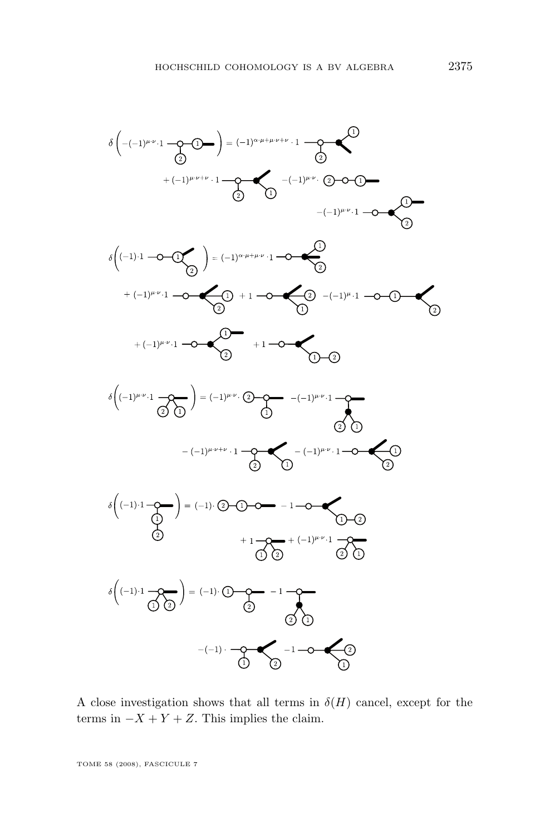

A close investigation shows that all terms in  $\delta(H)$  cancel, except for the terms in  $-X + Y + Z$ . This implies the claim.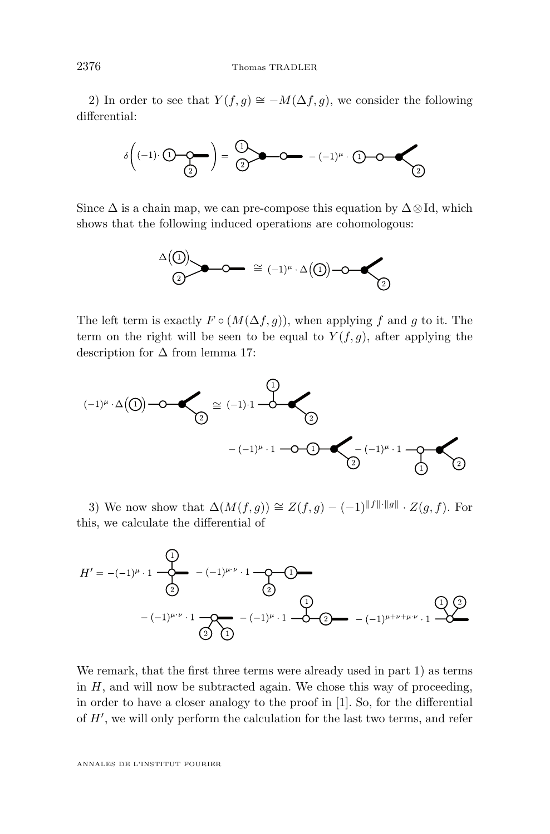2) In order to see that  $Y(f, g) \cong -M(\Delta f, g)$ , we consider the following differential:



Since  $\Delta$  is a chain map, we can pre-compose this equation by  $\Delta \otimes Id$ , which shows that the following induced operations are cohomologous:



The left term is exactly  $F \circ (M(\Delta f, q))$ , when applying f and q to it. The term on the right will be seen to be equal to  $Y(f,g)$ , after applying the description for  $\Delta$  from lemma [17:](#page-21-0)



3) We now show that  $\Delta(M(f,g)) \cong Z(f,g) - (-1)^{||f|| \cdot ||g||} \cdot Z(g, f)$ . For this, we calculate the differential of



We remark, that the first three terms were already used in part 1) as terms in  $H$ , and will now be subtracted again. We chose this way of proceeding, in order to have a closer analogy to the proof in [\[1\]](#page-28-0). So, for the differential of  $H'$ , we will only perform the calculation for the last two terms, and refer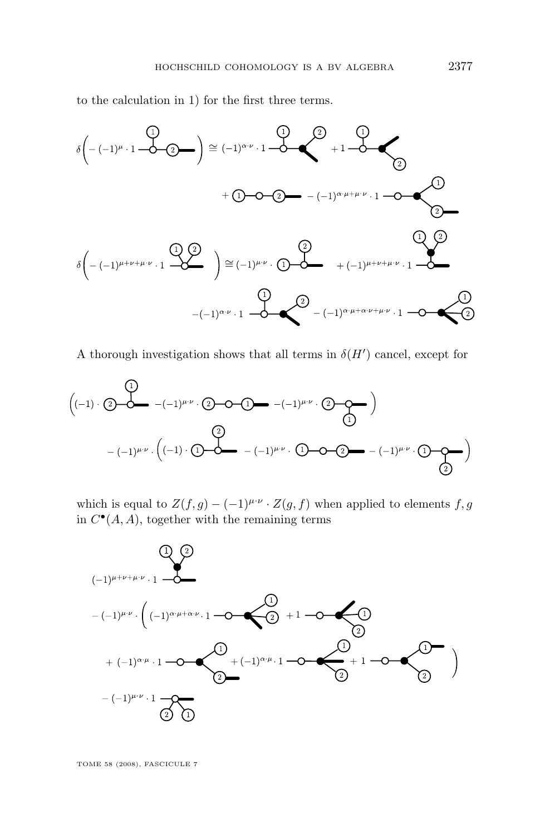to the calculation in 1) for the first three terms.



A thorough investigation shows that all terms in  $\delta(H')$  cancel, except for



which is equal to  $Z(f,g) - (-1)^{\mu \cdot \nu} \cdot Z(g,f)$  when applied to elements  $f,g$ in  $C^{\bullet}(A, A)$ , together with the remaining terms

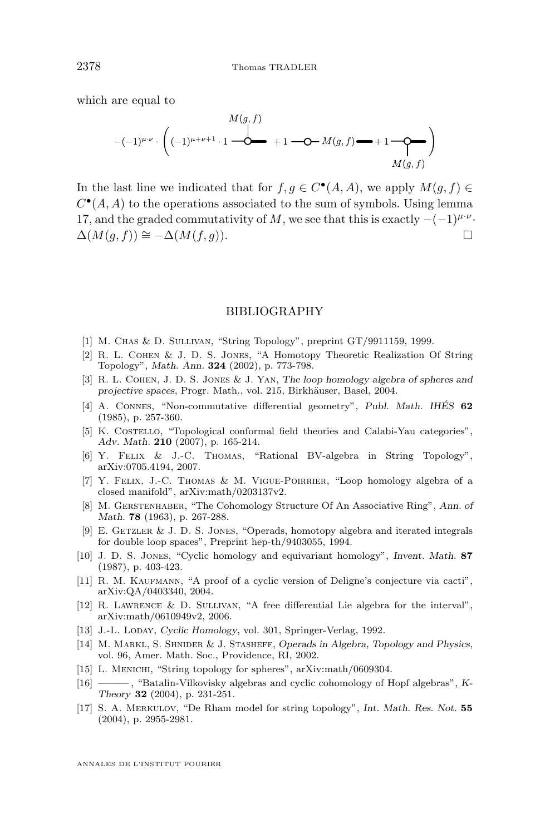<span id="page-28-0"></span>which are equal to

$$
M(g, f)
$$
\n
$$
-(-1)^{\mu \cdot \nu} \cdot \left( (-1)^{\mu + \nu + 1} \cdot 1 \xrightarrow{\text{d}} + 1 \xrightarrow{\text{d}} -M(g, f) \xrightarrow{\text{d}} +1 \xrightarrow{\text{d}} M(g, f) \right)
$$

In the last line we indicated that for  $f, g \in C^{\bullet}(A, A)$ , we apply  $M(g, f) \in$  $C^{\bullet}(A, A)$  to the operations associated to the sum of symbols. Using lemma [17,](#page-21-0) and the graded commutativity of M, we see that this is exactly  $-(-1)^{\mu\nu}$ .  $\Delta(M(a, f)) \cong -\Delta(M(f, a)).$ 

#### BIBLIOGRAPHY

- [1] M. Chas & D. Sullivan, "String Topology", preprint GT/9911159, 1999.
- [2] R. L. Cohen & J. D. S. Jones, "A Homotopy Theoretic Realization Of String Topology", *Math. Ann.* **324** (2002), p. 773-798.
- [3] R. L. Cohen, J. D. S. Jones & J. Yan, *The loop homology algebra of spheres and projective spaces*, Progr. Math., vol. 215, Birkhäuser, Basel, 2004.
- [4] A. Connes, "Non-commutative differential geometry", *Publ. Math. IHÉS* **62** (1985), p. 257-360.
- [5] K. Costello, "Topological conformal field theories and Calabi-Yau categories", *Adv. Math.* **210** (2007), p. 165-214.
- [6] Y. Felix & J.-C. Thomas, "Rational BV-algebra in String Topology", arXiv:0705.4194, 2007.
- [7] Y. Felix, J.-C. Thomas & M. Vigue-Poirrier, "Loop homology algebra of a closed manifold", arXiv:math/0203137v2.
- [8] M. Gerstenhaber, "The Cohomology Structure Of An Associative Ring", *Ann. of Math.* **78** (1963), p. 267-288.
- [9] E. GETZLER  $&$  J. D. S. JONES, "Operads, homotopy algebra and iterated integrals for double loop spaces", Preprint hep-th/9403055, 1994.
- [10] J. D. S. Jones, "Cyclic homology and equivariant homology", *Invent. Math.* **87** (1987), p. 403-423.
- [11] R. M. KAUFMANN, "A proof of a cyclic version of Deligne's conjecture via cacti", arXiv:QA/0403340, 2004.
- [12] R. Lawrence & D. Sullivan, "A free differential Lie algebra for the interval", arXiv:math/0610949v2, 2006.
- [13] J.-L. Loday, *Cyclic Homology*, vol. 301, Springer-Verlag, 1992.
- [14] M. Markl, S. Shnider & J. Stasheff, *Operads in Algebra, Topology and Physics*, vol. 96, Amer. Math. Soc., Providence, RI, 2002.
- [15] L. MENICHI, "String topology for spheres", arXiv:math/0609304.
- [16] ——— , "Batalin-Vilkovisky algebras and cyclic cohomology of Hopf algebras", *K-Theory* **32** (2004), p. 231-251.
- [17] S. A. Merkulov, "De Rham model for string topology", *Int. Math. Res. Not.* **55** (2004), p. 2955-2981.